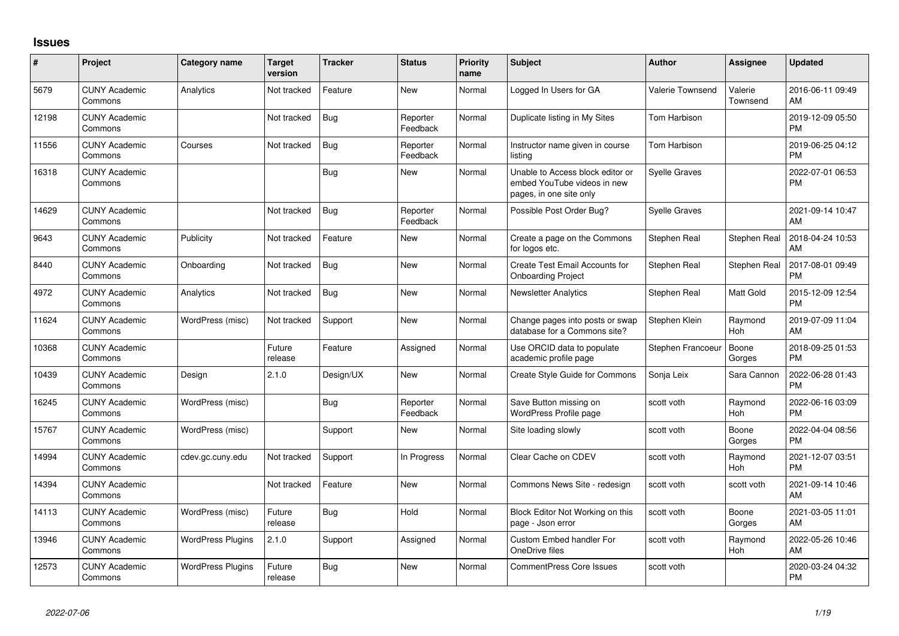## **Issues**

| #     | Project                         | <b>Category name</b>     | <b>Target</b><br>version | <b>Tracker</b> | <b>Status</b>        | Priority<br>name | <b>Subject</b>                                                                             | Author               | <b>Assignee</b>     | <b>Updated</b>                |
|-------|---------------------------------|--------------------------|--------------------------|----------------|----------------------|------------------|--------------------------------------------------------------------------------------------|----------------------|---------------------|-------------------------------|
| 5679  | <b>CUNY Academic</b><br>Commons | Analytics                | Not tracked              | Feature        | New                  | Normal           | Logged In Users for GA                                                                     | Valerie Townsend     | Valerie<br>Townsend | 2016-06-11 09:49<br>AM        |
| 12198 | <b>CUNY Academic</b><br>Commons |                          | Not tracked              | Bug            | Reporter<br>Feedback | Normal           | Duplicate listing in My Sites                                                              | <b>Tom Harbison</b>  |                     | 2019-12-09 05:50<br><b>PM</b> |
| 11556 | <b>CUNY Academic</b><br>Commons | Courses                  | Not tracked              | <b>Bug</b>     | Reporter<br>Feedback | Normal           | Instructor name given in course<br>listing                                                 | <b>Tom Harbison</b>  |                     | 2019-06-25 04:12<br><b>PM</b> |
| 16318 | <b>CUNY Academic</b><br>Commons |                          |                          | <b>Bug</b>     | New                  | Normal           | Unable to Access block editor or<br>embed YouTube videos in new<br>pages, in one site only | <b>Syelle Graves</b> |                     | 2022-07-01 06:53<br><b>PM</b> |
| 14629 | <b>CUNY Academic</b><br>Commons |                          | Not tracked              | <b>Bug</b>     | Reporter<br>Feedback | Normal           | Possible Post Order Bug?                                                                   | <b>Syelle Graves</b> |                     | 2021-09-14 10:47<br>AM        |
| 9643  | <b>CUNY Academic</b><br>Commons | Publicity                | Not tracked              | Feature        | <b>New</b>           | Normal           | Create a page on the Commons<br>for logos etc.                                             | Stephen Real         | Stephen Real        | 2018-04-24 10:53<br>AM        |
| 8440  | <b>CUNY Academic</b><br>Commons | Onboarding               | Not tracked              | Bug            | New                  | Normal           | Create Test Email Accounts for<br><b>Onboarding Project</b>                                | Stephen Real         | Stephen Real        | 2017-08-01 09:49<br><b>PM</b> |
| 4972  | <b>CUNY Academic</b><br>Commons | Analytics                | Not tracked              | <b>Bug</b>     | New                  | Normal           | <b>Newsletter Analytics</b>                                                                | Stephen Real         | Matt Gold           | 2015-12-09 12:54<br><b>PM</b> |
| 11624 | <b>CUNY Academic</b><br>Commons | WordPress (misc)         | Not tracked              | Support        | <b>New</b>           | Normal           | Change pages into posts or swap<br>database for a Commons site?                            | Stephen Klein        | Raymond<br>Hoh      | 2019-07-09 11:04<br>AM        |
| 10368 | <b>CUNY Academic</b><br>Commons |                          | Future<br>release        | Feature        | Assigned             | Normal           | Use ORCID data to populate<br>academic profile page                                        | Stephen Francoeu     | Boone<br>Gorges     | 2018-09-25 01:53<br><b>PM</b> |
| 10439 | <b>CUNY Academic</b><br>Commons | Design                   | 2.1.0                    | Design/UX      | <b>New</b>           | Normal           | Create Style Guide for Commons                                                             | Sonja Leix           | Sara Cannon         | 2022-06-28 01:43<br><b>PM</b> |
| 16245 | <b>CUNY Academic</b><br>Commons | WordPress (misc)         |                          | <b>Bug</b>     | Reporter<br>Feedback | Normal           | Save Button missing on<br>WordPress Profile page                                           | scott voth           | Raymond<br>Hoh      | 2022-06-16 03:09<br><b>PM</b> |
| 15767 | <b>CUNY Academic</b><br>Commons | WordPress (misc)         |                          | Support        | New                  | Normal           | Site loading slowly                                                                        | scott voth           | Boone<br>Gorges     | 2022-04-04 08:56<br><b>PM</b> |
| 14994 | <b>CUNY Academic</b><br>Commons | cdev.gc.cuny.edu         | Not tracked              | Support        | In Progress          | Normal           | Clear Cache on CDEV                                                                        | scott voth           | Raymond<br>Hoh      | 2021-12-07 03:51<br><b>PM</b> |
| 14394 | <b>CUNY Academic</b><br>Commons |                          | Not tracked              | Feature        | <b>New</b>           | Normal           | Commons News Site - redesign                                                               | scott voth           | scott voth          | 2021-09-14 10:46<br>AM        |
| 14113 | <b>CUNY Academic</b><br>Commons | WordPress (misc)         | Future<br>release        | <b>Bug</b>     | Hold                 | Normal           | Block Editor Not Working on this<br>page - Json error                                      | scott voth           | Boone<br>Gorges     | 2021-03-05 11:01<br>AM        |
| 13946 | <b>CUNY Academic</b><br>Commons | <b>WordPress Plugins</b> | 2.1.0                    | Support        | Assigned             | Normal           | Custom Embed handler For<br>OneDrive files                                                 | scott voth           | Raymond<br>Hoh      | 2022-05-26 10:46<br>AM        |
| 12573 | <b>CUNY Academic</b><br>Commons | <b>WordPress Plugins</b> | Future<br>release        | Bug            | <b>New</b>           | Normal           | <b>CommentPress Core Issues</b>                                                            | scott voth           |                     | 2020-03-24 04:32<br>PM        |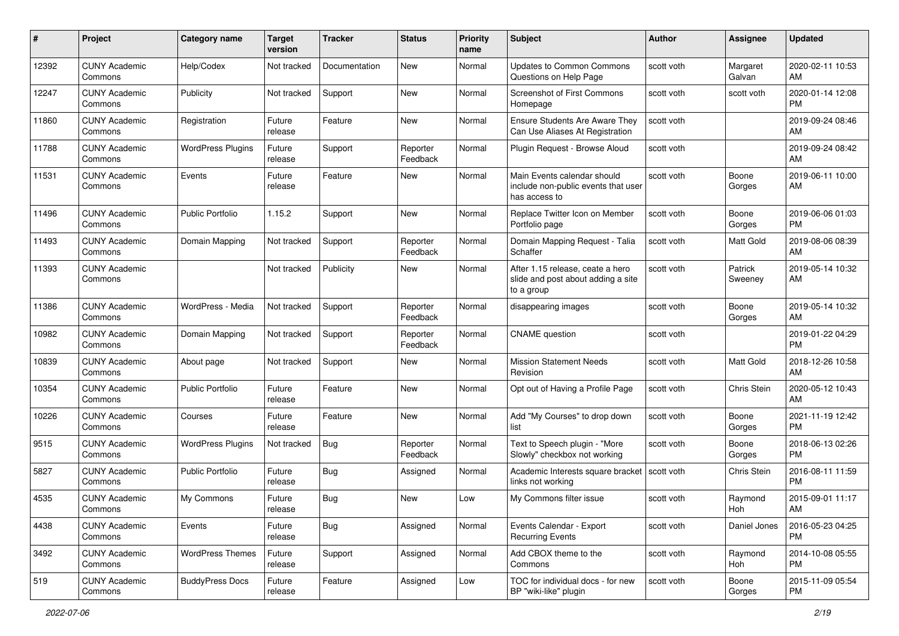| #     | Project                         | <b>Category name</b>     | <b>Target</b><br>version | <b>Tracker</b> | <b>Status</b>        | Priority<br>name | Subject                                                                              | Author     | <b>Assignee</b>    | <b>Updated</b>                |
|-------|---------------------------------|--------------------------|--------------------------|----------------|----------------------|------------------|--------------------------------------------------------------------------------------|------------|--------------------|-------------------------------|
| 12392 | <b>CUNY Academic</b><br>Commons | Help/Codex               | Not tracked              | Documentation  | New                  | Normal           | <b>Updates to Common Commons</b><br>Questions on Help Page                           | scott voth | Margaret<br>Galvan | 2020-02-11 10:53<br>AM        |
| 12247 | <b>CUNY Academic</b><br>Commons | Publicity                | Not tracked              | Support        | New                  | Normal           | Screenshot of First Commons<br>Homepage                                              | scott voth | scott voth         | 2020-01-14 12:08<br><b>PM</b> |
| 11860 | <b>CUNY Academic</b><br>Commons | Registration             | Future<br>release        | Feature        | New                  | Normal           | <b>Ensure Students Are Aware They</b><br>Can Use Aliases At Registration             | scott voth |                    | 2019-09-24 08:46<br>AM        |
| 11788 | <b>CUNY Academic</b><br>Commons | <b>WordPress Plugins</b> | Future<br>release        | Support        | Reporter<br>Feedback | Normal           | Plugin Request - Browse Aloud                                                        | scott voth |                    | 2019-09-24 08:42<br>AM        |
| 11531 | <b>CUNY Academic</b><br>Commons | Events                   | Future<br>release        | Feature        | New                  | Normal           | Main Events calendar should<br>include non-public events that user<br>has access to  | scott voth | Boone<br>Gorges    | 2019-06-11 10:00<br>AM        |
| 11496 | <b>CUNY Academic</b><br>Commons | <b>Public Portfolio</b>  | 1.15.2                   | Support        | New                  | Normal           | Replace Twitter Icon on Member<br>Portfolio page                                     | scott voth | Boone<br>Gorges    | 2019-06-06 01:03<br><b>PM</b> |
| 11493 | <b>CUNY Academic</b><br>Commons | Domain Mapping           | Not tracked              | Support        | Reporter<br>Feedback | Normal           | Domain Mapping Request - Talia<br>Schaffer                                           | scott voth | Matt Gold          | 2019-08-06 08:39<br>AM        |
| 11393 | <b>CUNY Academic</b><br>Commons |                          | Not tracked              | Publicity      | New                  | Normal           | After 1.15 release, ceate a hero<br>slide and post about adding a site<br>to a group | scott voth | Patrick<br>Sweeney | 2019-05-14 10:32<br>AM        |
| 11386 | <b>CUNY Academic</b><br>Commons | WordPress - Media        | Not tracked              | Support        | Reporter<br>Feedback | Normal           | disappearing images                                                                  | scott voth | Boone<br>Gorges    | 2019-05-14 10:32<br>AM        |
| 10982 | <b>CUNY Academic</b><br>Commons | Domain Mapping           | Not tracked              | Support        | Reporter<br>Feedback | Normal           | <b>CNAME</b> question                                                                | scott voth |                    | 2019-01-22 04:29<br><b>PM</b> |
| 10839 | <b>CUNY Academic</b><br>Commons | About page               | Not tracked              | Support        | New                  | Normal           | <b>Mission Statement Needs</b><br>Revision                                           | scott voth | Matt Gold          | 2018-12-26 10:58<br>AM        |
| 10354 | <b>CUNY Academic</b><br>Commons | <b>Public Portfolio</b>  | Future<br>release        | Feature        | New                  | Normal           | Opt out of Having a Profile Page                                                     | scott voth | Chris Stein        | 2020-05-12 10:43<br>AM        |
| 10226 | <b>CUNY Academic</b><br>Commons | Courses                  | Future<br>release        | Feature        | New                  | Normal           | Add "My Courses" to drop down<br>list                                                | scott voth | Boone<br>Gorges    | 2021-11-19 12:42<br><b>PM</b> |
| 9515  | <b>CUNY Academic</b><br>Commons | <b>WordPress Plugins</b> | Not tracked              | <b>Bug</b>     | Reporter<br>Feedback | Normal           | Text to Speech plugin - "More<br>Slowly" checkbox not working                        | scott voth | Boone<br>Gorges    | 2018-06-13 02:26<br><b>PM</b> |
| 5827  | <b>CUNY Academic</b><br>Commons | <b>Public Portfolio</b>  | Future<br>release        | <b>Bug</b>     | Assigned             | Normal           | Academic Interests square bracket   scott voth<br>links not working                  |            | Chris Stein        | 2016-08-11 11:59<br><b>PM</b> |
| 4535  | <b>CUNY Academic</b><br>Commons | My Commons               | Future<br>release        | Bug            | New                  | Low              | My Commons filter issue                                                              | scott voth | Raymond<br>Hoh     | 2015-09-01 11:17<br>AM        |
| 4438  | <b>CUNY Academic</b><br>Commons | Events                   | Future<br>release        | <b>Bug</b>     | Assigned             | Normal           | Events Calendar - Export<br><b>Recurring Events</b>                                  | scott voth | Daniel Jones       | 2016-05-23 04:25<br><b>PM</b> |
| 3492  | <b>CUNY Academic</b><br>Commons | <b>WordPress Themes</b>  | Future<br>release        | Support        | Assigned             | Normal           | Add CBOX theme to the<br>Commons                                                     | scott voth | Raymond<br>Hoh     | 2014-10-08 05:55<br><b>PM</b> |
| 519   | <b>CUNY Academic</b><br>Commons | <b>BuddyPress Docs</b>   | Future<br>release        | Feature        | Assigned             | Low              | TOC for individual docs - for new<br>BP "wiki-like" plugin                           | scott voth | Boone<br>Gorges    | 2015-11-09 05:54<br><b>PM</b> |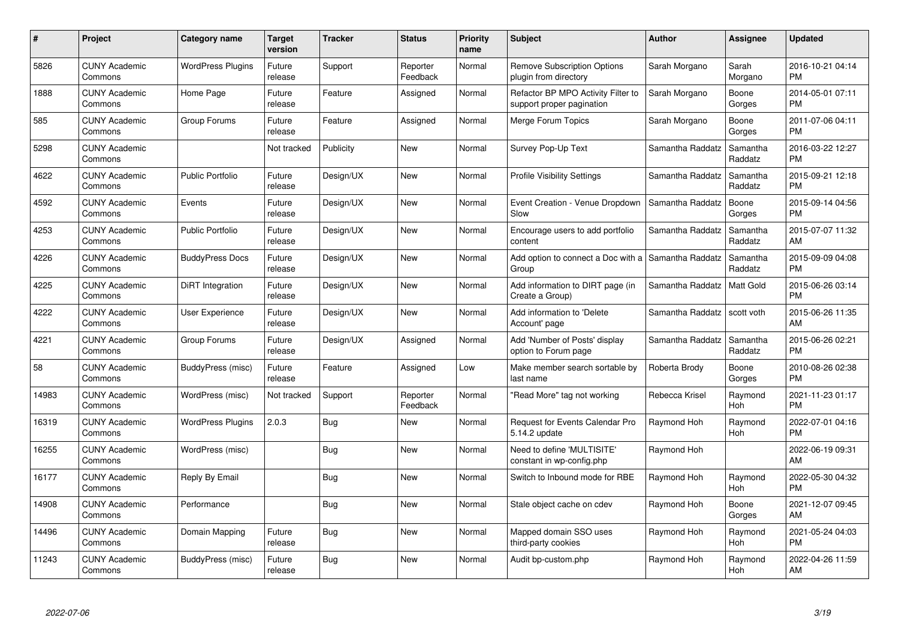| #     | <b>Project</b>                  | <b>Category name</b>     | <b>Target</b><br>version | <b>Tracker</b> | <b>Status</b>        | <b>Priority</b><br>name | <b>Subject</b>                                                  | <b>Author</b>    | Assignee            | <b>Updated</b>                |
|-------|---------------------------------|--------------------------|--------------------------|----------------|----------------------|-------------------------|-----------------------------------------------------------------|------------------|---------------------|-------------------------------|
| 5826  | <b>CUNY Academic</b><br>Commons | <b>WordPress Plugins</b> | Future<br>release        | Support        | Reporter<br>Feedback | Normal                  | <b>Remove Subscription Options</b><br>plugin from directory     | Sarah Morgano    | Sarah<br>Morgano    | 2016-10-21 04:14<br><b>PM</b> |
| 1888  | <b>CUNY Academic</b><br>Commons | Home Page                | Future<br>release        | Feature        | Assigned             | Normal                  | Refactor BP MPO Activity Filter to<br>support proper pagination | Sarah Morgano    | Boone<br>Gorges     | 2014-05-01 07:11<br>PM        |
| 585   | <b>CUNY Academic</b><br>Commons | Group Forums             | Future<br>release        | Feature        | Assigned             | Normal                  | Merge Forum Topics                                              | Sarah Morgano    | Boone<br>Gorges     | 2011-07-06 04:11<br><b>PM</b> |
| 5298  | <b>CUNY Academic</b><br>Commons |                          | Not tracked              | Publicity      | New                  | Normal                  | Survey Pop-Up Text                                              | Samantha Raddatz | Samantha<br>Raddatz | 2016-03-22 12:27<br><b>PM</b> |
| 4622  | <b>CUNY Academic</b><br>Commons | <b>Public Portfolio</b>  | Future<br>release        | Design/UX      | <b>New</b>           | Normal                  | <b>Profile Visibility Settings</b>                              | Samantha Raddatz | Samantha<br>Raddatz | 2015-09-21 12:18<br><b>PM</b> |
| 4592  | <b>CUNY Academic</b><br>Commons | Events                   | Future<br>release        | Design/UX      | <b>New</b>           | Normal                  | Event Creation - Venue Dropdown<br>Slow                         | Samantha Raddatz | Boone<br>Gorges     | 2015-09-14 04:56<br><b>PM</b> |
| 4253  | <b>CUNY Academic</b><br>Commons | <b>Public Portfolio</b>  | Future<br>release        | Design/UX      | New                  | Normal                  | Encourage users to add portfolio<br>content                     | Samantha Raddatz | Samantha<br>Raddatz | 2015-07-07 11:32<br>AM        |
| 4226  | <b>CUNY Academic</b><br>Commons | <b>BuddyPress Docs</b>   | Future<br>release        | Design/UX      | New                  | Normal                  | Add option to connect a Doc with a<br>Group                     | Samantha Raddatz | Samantha<br>Raddatz | 2015-09-09 04:08<br><b>PM</b> |
| 4225  | <b>CUNY Academic</b><br>Commons | DiRT Integration         | Future<br>release        | Design/UX      | New                  | Normal                  | Add information to DIRT page (in<br>Create a Group)             | Samantha Raddatz | Matt Gold           | 2015-06-26 03:14<br><b>PM</b> |
| 4222  | <b>CUNY Academic</b><br>Commons | User Experience          | Future<br>release        | Design/UX      | <b>New</b>           | Normal                  | Add information to 'Delete<br>Account' page                     | Samantha Raddatz | scott voth          | 2015-06-26 11:35<br>AM        |
| 4221  | <b>CUNY Academic</b><br>Commons | Group Forums             | Future<br>release        | Design/UX      | Assigned             | Normal                  | Add 'Number of Posts' display<br>option to Forum page           | Samantha Raddatz | Samantha<br>Raddatz | 2015-06-26 02:21<br><b>PM</b> |
| 58    | <b>CUNY Academic</b><br>Commons | BuddyPress (misc)        | Future<br>release        | Feature        | Assigned             | Low                     | Make member search sortable by<br>last name                     | Roberta Brody    | Boone<br>Gorges     | 2010-08-26 02:38<br><b>PM</b> |
| 14983 | <b>CUNY Academic</b><br>Commons | WordPress (misc)         | Not tracked              | Support        | Reporter<br>Feedback | Normal                  | "Read More" tag not working                                     | Rebecca Krisel   | Raymond<br>Hoh      | 2021-11-23 01:17<br><b>PM</b> |
| 16319 | <b>CUNY Academic</b><br>Commons | <b>WordPress Plugins</b> | 2.0.3                    | <b>Bug</b>     | <b>New</b>           | Normal                  | Request for Events Calendar Pro<br>5.14.2 update                | Raymond Hoh      | Raymond<br>Hoh      | 2022-07-01 04:16<br>PM        |
| 16255 | <b>CUNY Academic</b><br>Commons | WordPress (misc)         |                          | Bug            | <b>New</b>           | Normal                  | Need to define 'MULTISITE'<br>constant in wp-config.php         | Raymond Hoh      |                     | 2022-06-19 09:31<br>AM        |
| 16177 | <b>CUNY Academic</b><br>Commons | Reply By Email           |                          | <b>Bug</b>     | <b>New</b>           | Normal                  | Switch to Inbound mode for RBE                                  | Raymond Hoh      | Raymond<br>Hoh      | 2022-05-30 04:32<br><b>PM</b> |
| 14908 | <b>CUNY Academic</b><br>Commons | Performance              |                          | Bug            | New                  | Normal                  | Stale object cache on cdev                                      | Raymond Hoh      | Boone<br>Gorges     | 2021-12-07 09:45<br>AM        |
| 14496 | <b>CUNY Academic</b><br>Commons | Domain Mapping           | Future<br>release        | <b>Bug</b>     | <b>New</b>           | Normal                  | Mapped domain SSO uses<br>third-party cookies                   | Raymond Hoh      | Raymond<br>Hoh      | 2021-05-24 04:03<br><b>PM</b> |
| 11243 | <b>CUNY Academic</b><br>Commons | BuddyPress (misc)        | Future<br>release        | Bug            | <b>New</b>           | Normal                  | Audit bp-custom.php                                             | Raymond Hoh      | Raymond<br>Hoh      | 2022-04-26 11:59<br>AM        |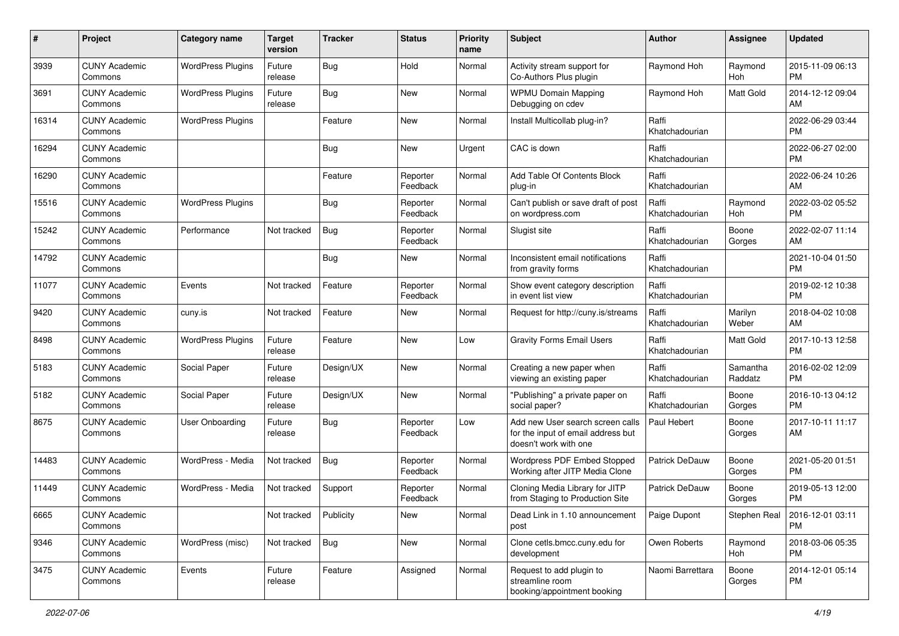| #     | Project                         | <b>Category name</b>     | <b>Target</b><br>version | <b>Tracker</b> | <b>Status</b>        | <b>Priority</b><br>name | <b>Subject</b>                                                                                  | Author                  | <b>Assignee</b>     | <b>Updated</b>                        |
|-------|---------------------------------|--------------------------|--------------------------|----------------|----------------------|-------------------------|-------------------------------------------------------------------------------------------------|-------------------------|---------------------|---------------------------------------|
| 3939  | <b>CUNY Academic</b><br>Commons | <b>WordPress Plugins</b> | Future<br>release        | <b>Bug</b>     | Hold                 | Normal                  | Activity stream support for<br>Co-Authors Plus plugin                                           | Raymond Hoh             | Raymond<br>Hoh      | 2015-11-09 06:13<br><b>PM</b>         |
| 3691  | <b>CUNY Academic</b><br>Commons | <b>WordPress Plugins</b> | Future<br>release        | <b>Bug</b>     | New                  | Normal                  | <b>WPMU Domain Mapping</b><br>Debugging on cdev                                                 | Raymond Hoh             | Matt Gold           | 2014-12-12 09:04<br>AM                |
| 16314 | <b>CUNY Academic</b><br>Commons | <b>WordPress Plugins</b> |                          | Feature        | New                  | Normal                  | Install Multicollab plug-in?                                                                    | Raffi<br>Khatchadourian |                     | 2022-06-29 03:44<br><b>PM</b>         |
| 16294 | <b>CUNY Academic</b><br>Commons |                          |                          | Bug            | New                  | Urgent                  | CAC is down                                                                                     | Raffi<br>Khatchadourian |                     | 2022-06-27 02:00<br><b>PM</b>         |
| 16290 | <b>CUNY Academic</b><br>Commons |                          |                          | Feature        | Reporter<br>Feedback | Normal                  | Add Table Of Contents Block<br>plug-in                                                          | Raffi<br>Khatchadourian |                     | 2022-06-24 10:26<br>AM                |
| 15516 | <b>CUNY Academic</b><br>Commons | <b>WordPress Plugins</b> |                          | <b>Bug</b>     | Reporter<br>Feedback | Normal                  | Can't publish or save draft of post<br>on wordpress.com                                         | Raffi<br>Khatchadourian | Raymond<br>Hoh      | 2022-03-02 05:52<br><b>PM</b>         |
| 15242 | <b>CUNY Academic</b><br>Commons | Performance              | Not tracked              | <b>Bug</b>     | Reporter<br>Feedback | Normal                  | Slugist site                                                                                    | Raffi<br>Khatchadourian | Boone<br>Gorges     | 2022-02-07 11:14<br>AM                |
| 14792 | <b>CUNY Academic</b><br>Commons |                          |                          | <b>Bug</b>     | New                  | Normal                  | Inconsistent email notifications<br>from gravity forms                                          | Raffi<br>Khatchadourian |                     | 2021-10-04 01:50<br><b>PM</b>         |
| 11077 | <b>CUNY Academic</b><br>Commons | Events                   | Not tracked              | Feature        | Reporter<br>Feedback | Normal                  | Show event category description<br>in event list view                                           | Raffi<br>Khatchadourian |                     | 2019-02-12 10:38<br><b>PM</b>         |
| 9420  | <b>CUNY Academic</b><br>Commons | cuny.is                  | Not tracked              | Feature        | <b>New</b>           | Normal                  | Request for http://cuny.is/streams                                                              | Raffi<br>Khatchadourian | Marilyn<br>Weber    | 2018-04-02 10:08<br>AM                |
| 8498  | <b>CUNY Academic</b><br>Commons | <b>WordPress Plugins</b> | Future<br>release        | Feature        | New                  | Low                     | <b>Gravity Forms Email Users</b>                                                                | Raffi<br>Khatchadourian | Matt Gold           | 2017-10-13 12:58<br><b>PM</b>         |
| 5183  | <b>CUNY Academic</b><br>Commons | Social Paper             | Future<br>release        | Design/UX      | New                  | Normal                  | Creating a new paper when<br>viewing an existing paper                                          | Raffi<br>Khatchadourian | Samantha<br>Raddatz | 2016-02-02 12:09<br><b>PM</b>         |
| 5182  | <b>CUNY Academic</b><br>Commons | Social Paper             | Future<br>release        | Design/UX      | New                  | Normal                  | "Publishing" a private paper on<br>social paper?                                                | Raffi<br>Khatchadourian | Boone<br>Gorges     | 2016-10-13 04:12<br><b>PM</b>         |
| 8675  | <b>CUNY Academic</b><br>Commons | User Onboarding          | Future<br>release        | <b>Bug</b>     | Reporter<br>Feedback | Low                     | Add new User search screen calls<br>for the input of email address but<br>doesn't work with one | Paul Hebert             | Boone<br>Gorges     | 2017-10-11 11:17<br>AM                |
| 14483 | <b>CUNY Academic</b><br>Commons | WordPress - Media        | Not tracked              | <b>Bug</b>     | Reporter<br>Feedback | Normal                  | Wordpress PDF Embed Stopped<br>Working after JITP Media Clone                                   | Patrick DeDauw          | Boone<br>Gorges     | 2021-05-20 01:51<br><b>PM</b>         |
| 11449 | <b>CUNY Academic</b><br>Commons | WordPress - Media        | Not tracked              | Support        | Reporter<br>Feedback | Normal                  | Cloning Media Library for JITP<br>from Staging to Production Site                               | Patrick DeDauw          | Boone<br>Gorges     | 2019-05-13 12:00<br><b>PM</b>         |
| 6665  | <b>CUNY Academic</b><br>Commons |                          | Not tracked              | Publicity      | New                  | Normal                  | Dead Link in 1.10 announcement<br>post                                                          | Paige Dupont            |                     | Stephen Real   2016-12-01 03:11<br>PM |
| 9346  | <b>CUNY Academic</b><br>Commons | WordPress (misc)         | Not tracked              | Bug            | New                  | Normal                  | Clone cetls.bmcc.cuny.edu for<br>development                                                    | Owen Roberts            | Raymond<br>Hoh      | 2018-03-06 05:35<br><b>PM</b>         |
| 3475  | <b>CUNY Academic</b><br>Commons | Events                   | Future<br>release        | Feature        | Assigned             | Normal                  | Request to add plugin to<br>streamline room<br>booking/appointment booking                      | Naomi Barrettara        | Boone<br>Gorges     | 2014-12-01 05:14<br><b>PM</b>         |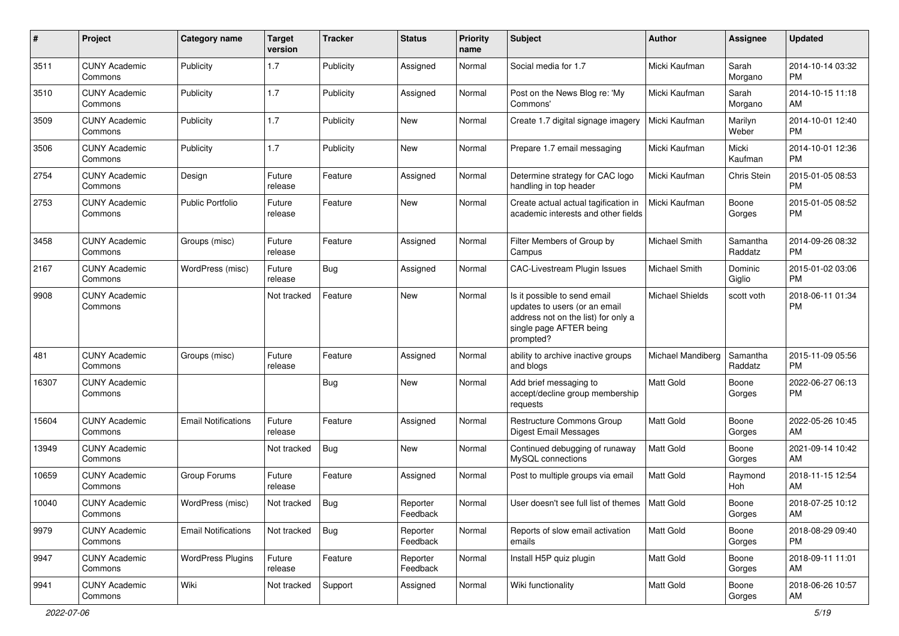| #     | Project                         | <b>Category name</b>       | <b>Target</b><br>version | <b>Tracker</b> | <b>Status</b>        | <b>Priority</b><br>name | Subject                                                                                                                                      | Author                 | <b>Assignee</b>     | <b>Updated</b>                |
|-------|---------------------------------|----------------------------|--------------------------|----------------|----------------------|-------------------------|----------------------------------------------------------------------------------------------------------------------------------------------|------------------------|---------------------|-------------------------------|
| 3511  | <b>CUNY Academic</b><br>Commons | Publicity                  | 1.7                      | Publicity      | Assigned             | Normal                  | Social media for 1.7                                                                                                                         | Micki Kaufman          | Sarah<br>Morgano    | 2014-10-14 03:32<br>PM        |
| 3510  | <b>CUNY Academic</b><br>Commons | Publicity                  | 1.7                      | Publicity      | Assigned             | Normal                  | Post on the News Blog re: 'My<br>Commons'                                                                                                    | Micki Kaufman          | Sarah<br>Morgano    | 2014-10-15 11:18<br>AM        |
| 3509  | <b>CUNY Academic</b><br>Commons | Publicity                  | 1.7                      | Publicity      | New                  | Normal                  | Create 1.7 digital signage imagery                                                                                                           | Micki Kaufman          | Marilyn<br>Weber    | 2014-10-01 12:40<br><b>PM</b> |
| 3506  | <b>CUNY Academic</b><br>Commons | Publicity                  | 1.7                      | Publicity      | New                  | Normal                  | Prepare 1.7 email messaging                                                                                                                  | Micki Kaufman          | Micki<br>Kaufman    | 2014-10-01 12:36<br><b>PM</b> |
| 2754  | <b>CUNY Academic</b><br>Commons | Design                     | Future<br>release        | Feature        | Assigned             | Normal                  | Determine strategy for CAC logo<br>handling in top header                                                                                    | Micki Kaufman          | Chris Stein         | 2015-01-05 08:53<br><b>PM</b> |
| 2753  | <b>CUNY Academic</b><br>Commons | <b>Public Portfolio</b>    | Future<br>release        | Feature        | New                  | Normal                  | Create actual actual tagification in<br>academic interests and other fields                                                                  | Micki Kaufman          | Boone<br>Gorges     | 2015-01-05 08:52<br><b>PM</b> |
| 3458  | <b>CUNY Academic</b><br>Commons | Groups (misc)              | Future<br>release        | Feature        | Assigned             | Normal                  | Filter Members of Group by<br>Campus                                                                                                         | <b>Michael Smith</b>   | Samantha<br>Raddatz | 2014-09-26 08:32<br><b>PM</b> |
| 2167  | <b>CUNY Academic</b><br>Commons | WordPress (misc)           | Future<br>release        | Bug            | Assigned             | Normal                  | <b>CAC-Livestream Plugin Issues</b>                                                                                                          | <b>Michael Smith</b>   | Dominic<br>Giglio   | 2015-01-02 03:06<br><b>PM</b> |
| 9908  | <b>CUNY Academic</b><br>Commons |                            | Not tracked              | Feature        | New                  | Normal                  | Is it possible to send email<br>updates to users (or an email<br>address not on the list) for only a<br>single page AFTER being<br>prompted? | <b>Michael Shields</b> | scott voth          | 2018-06-11 01:34<br><b>PM</b> |
| 481   | <b>CUNY Academic</b><br>Commons | Groups (misc)              | Future<br>release        | Feature        | Assigned             | Normal                  | ability to archive inactive groups<br>and blogs                                                                                              | Michael Mandiberg      | Samantha<br>Raddatz | 2015-11-09 05:56<br><b>PM</b> |
| 16307 | <b>CUNY Academic</b><br>Commons |                            |                          | <b>Bug</b>     | New                  | Normal                  | Add brief messaging to<br>accept/decline group membership<br>requests                                                                        | <b>Matt Gold</b>       | Boone<br>Gorges     | 2022-06-27 06:13<br><b>PM</b> |
| 15604 | <b>CUNY Academic</b><br>Commons | <b>Email Notifications</b> | Future<br>release        | Feature        | Assigned             | Normal                  | Restructure Commons Group<br>Digest Email Messages                                                                                           | Matt Gold              | Boone<br>Gorges     | 2022-05-26 10:45<br>AM        |
| 13949 | <b>CUNY Academic</b><br>Commons |                            | Not tracked              | Bug            | New                  | Normal                  | Continued debugging of runaway<br>MySQL connections                                                                                          | <b>Matt Gold</b>       | Boone<br>Gorges     | 2021-09-14 10:42<br>AM        |
| 10659 | <b>CUNY Academic</b><br>Commons | Group Forums               | Future<br>release        | Feature        | Assigned             | Normal                  | Post to multiple groups via email                                                                                                            | <b>Matt Gold</b>       | Raymond<br>Hoh      | 2018-11-15 12:54<br>AM        |
| 10040 | <b>CUNY Academic</b><br>Commons | WordPress (misc)           | Not tracked              | <b>Bug</b>     | Reporter<br>Feedback | Normal                  | User doesn't see full list of themes   Matt Gold                                                                                             |                        | Boone<br>Gorges     | 2018-07-25 10:12<br>AM        |
| 9979  | <b>CUNY Academic</b><br>Commons | <b>Email Notifications</b> | Not tracked              | <b>Bug</b>     | Reporter<br>Feedback | Normal                  | Reports of slow email activation<br>emails                                                                                                   | Matt Gold              | Boone<br>Gorges     | 2018-08-29 09:40<br>PM        |
| 9947  | <b>CUNY Academic</b><br>Commons | <b>WordPress Plugins</b>   | Future<br>release        | Feature        | Reporter<br>Feedback | Normal                  | Install H5P quiz plugin                                                                                                                      | Matt Gold              | Boone<br>Gorges     | 2018-09-11 11:01<br>AM        |
| 9941  | <b>CUNY Academic</b><br>Commons | Wiki                       | Not tracked              | Support        | Assigned             | Normal                  | Wiki functionality                                                                                                                           | <b>Matt Gold</b>       | Boone<br>Gorges     | 2018-06-26 10:57<br>AM        |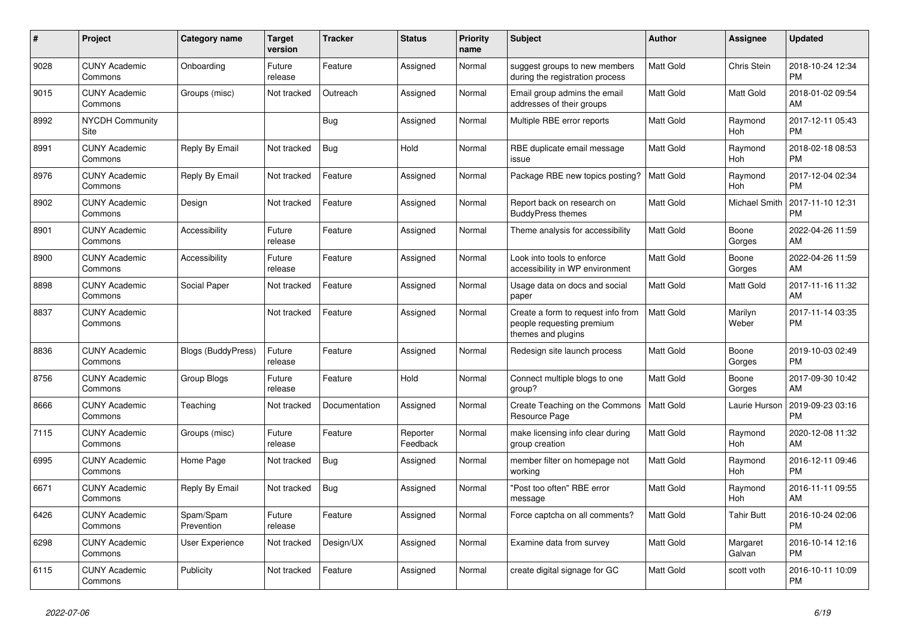| #    | <b>Project</b>                  | <b>Category name</b>      | <b>Target</b><br>version | <b>Tracker</b> | <b>Status</b>        | Priority<br>name | <b>Subject</b>                                                                        | <b>Author</b>    | <b>Assignee</b>       | <b>Updated</b>                |
|------|---------------------------------|---------------------------|--------------------------|----------------|----------------------|------------------|---------------------------------------------------------------------------------------|------------------|-----------------------|-------------------------------|
| 9028 | <b>CUNY Academic</b><br>Commons | Onboarding                | Future<br>release        | Feature        | Assigned             | Normal           | suggest groups to new members<br>during the registration process                      | <b>Matt Gold</b> | Chris Stein           | 2018-10-24 12:34<br><b>PM</b> |
| 9015 | <b>CUNY Academic</b><br>Commons | Groups (misc)             | Not tracked              | Outreach       | Assigned             | Normal           | Email group admins the email<br>addresses of their groups                             | <b>Matt Gold</b> | <b>Matt Gold</b>      | 2018-01-02 09:54<br>AM        |
| 8992 | <b>NYCDH Community</b><br>Site  |                           |                          | Bug            | Assigned             | Normal           | Multiple RBE error reports                                                            | Matt Gold        | Raymond<br>Hoh        | 2017-12-11 05:43<br><b>PM</b> |
| 8991 | <b>CUNY Academic</b><br>Commons | Reply By Email            | Not tracked              | <b>Bug</b>     | Hold                 | Normal           | RBE duplicate email message<br>issue                                                  | <b>Matt Gold</b> | Raymond<br><b>Hoh</b> | 2018-02-18 08:53<br><b>PM</b> |
| 8976 | <b>CUNY Academic</b><br>Commons | Reply By Email            | Not tracked              | Feature        | Assigned             | Normal           | Package RBE new topics posting?                                                       | <b>Matt Gold</b> | Raymond<br>Hoh        | 2017-12-04 02:34<br><b>PM</b> |
| 8902 | <b>CUNY Academic</b><br>Commons | Design                    | Not tracked              | Feature        | Assigned             | Normal           | Report back on research on<br><b>BuddyPress themes</b>                                | Matt Gold        | Michael Smith         | 2017-11-10 12:31<br><b>PM</b> |
| 8901 | <b>CUNY Academic</b><br>Commons | Accessibility             | Future<br>release        | Feature        | Assigned             | Normal           | Theme analysis for accessibility                                                      | <b>Matt Gold</b> | Boone<br>Gorges       | 2022-04-26 11:59<br>AM        |
| 8900 | <b>CUNY Academic</b><br>Commons | Accessibility             | Future<br>release        | Feature        | Assigned             | Normal           | Look into tools to enforce<br>accessibility in WP environment                         | <b>Matt Gold</b> | Boone<br>Gorges       | 2022-04-26 11:59<br>AM        |
| 8898 | <b>CUNY Academic</b><br>Commons | Social Paper              | Not tracked              | Feature        | Assigned             | Normal           | Usage data on docs and social<br>paper                                                | Matt Gold        | Matt Gold             | 2017-11-16 11:32<br>AM        |
| 8837 | <b>CUNY Academic</b><br>Commons |                           | Not tracked              | Feature        | Assigned             | Normal           | Create a form to request info from<br>people requesting premium<br>themes and plugins | <b>Matt Gold</b> | Marilyn<br>Weber      | 2017-11-14 03:35<br><b>PM</b> |
| 8836 | <b>CUNY Academic</b><br>Commons | <b>Blogs (BuddyPress)</b> | Future<br>release        | Feature        | Assigned             | Normal           | Redesign site launch process                                                          | <b>Matt Gold</b> | Boone<br>Gorges       | 2019-10-03 02:49<br><b>PM</b> |
| 8756 | <b>CUNY Academic</b><br>Commons | Group Blogs               | Future<br>release        | Feature        | Hold                 | Normal           | Connect multiple blogs to one<br>group?                                               | <b>Matt Gold</b> | Boone<br>Gorges       | 2017-09-30 10:42<br>AM        |
| 8666 | <b>CUNY Academic</b><br>Commons | Teaching                  | Not tracked              | Documentation  | Assigned             | Normal           | Create Teaching on the Commons<br>Resource Page                                       | Matt Gold        | Laurie Hurson         | 2019-09-23 03:16<br><b>PM</b> |
| 7115 | <b>CUNY Academic</b><br>Commons | Groups (misc)             | Future<br>release        | Feature        | Reporter<br>Feedback | Normal           | make licensing info clear during<br>group creation                                    | Matt Gold        | Raymond<br>Hoh        | 2020-12-08 11:32<br>AM        |
| 6995 | <b>CUNY Academic</b><br>Commons | Home Page                 | Not tracked              | <b>Bug</b>     | Assigned             | Normal           | member filter on homepage not<br>working                                              | Matt Gold        | Raymond<br><b>Hoh</b> | 2016-12-11 09:46<br><b>PM</b> |
| 6671 | <b>CUNY Academic</b><br>Commons | Reply By Email            | Not tracked              | <b>Bug</b>     | Assigned             | Normal           | "Post too often" RBE error<br>message                                                 | <b>Matt Gold</b> | Raymond<br>Hoh        | 2016-11-11 09:55<br>AM        |
| 6426 | <b>CUNY Academic</b><br>Commons | Spam/Spam<br>Prevention   | Future<br>release        | Feature        | Assigned             | Normal           | Force captcha on all comments?                                                        | Matt Gold        | <b>Tahir Butt</b>     | 2016-10-24 02:06<br><b>PM</b> |
| 6298 | <b>CUNY Academic</b><br>Commons | User Experience           | Not tracked              | Design/UX      | Assigned             | Normal           | Examine data from survey                                                              | Matt Gold        | Margaret<br>Galvan    | 2016-10-14 12:16<br><b>PM</b> |
| 6115 | <b>CUNY Academic</b><br>Commons | Publicity                 | Not tracked              | Feature        | Assigned             | Normal           | create digital signage for GC                                                         | <b>Matt Gold</b> | scott voth            | 2016-10-11 10:09<br><b>PM</b> |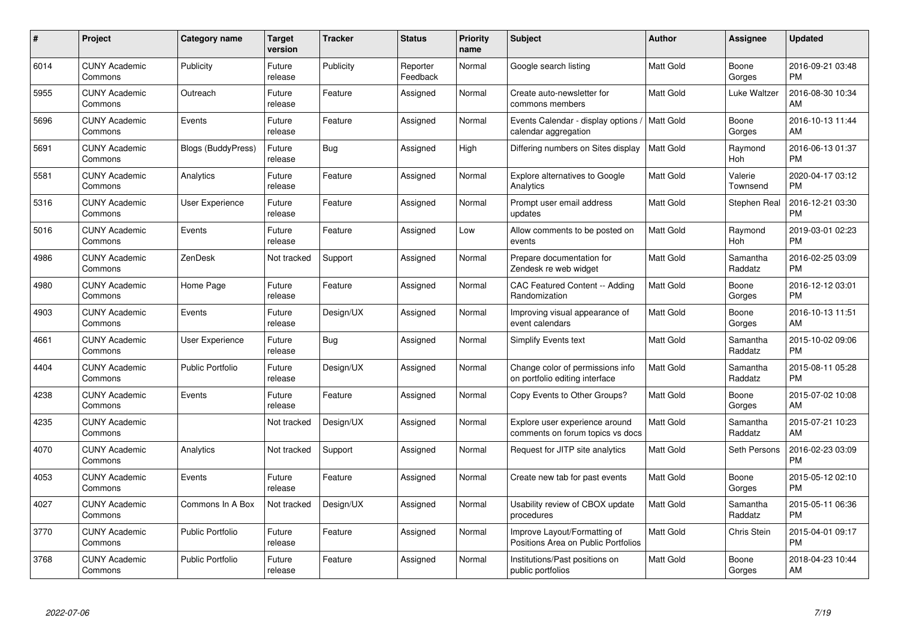| #    | Project                         | <b>Category name</b>      | <b>Target</b><br>version | <b>Tracker</b> | <b>Status</b>        | <b>Priority</b><br>name | <b>Subject</b>                                                      | <b>Author</b>    | <b>Assignee</b>     | <b>Updated</b>                |
|------|---------------------------------|---------------------------|--------------------------|----------------|----------------------|-------------------------|---------------------------------------------------------------------|------------------|---------------------|-------------------------------|
| 6014 | <b>CUNY Academic</b><br>Commons | Publicity                 | Future<br>release        | Publicity      | Reporter<br>Feedback | Normal                  | Google search listing                                               | <b>Matt Gold</b> | Boone<br>Gorges     | 2016-09-21 03:48<br><b>PM</b> |
| 5955 | <b>CUNY Academic</b><br>Commons | Outreach                  | Future<br>release        | Feature        | Assigned             | Normal                  | Create auto-newsletter for<br>commons members                       | <b>Matt Gold</b> | Luke Waltzer        | 2016-08-30 10:34<br>AM        |
| 5696 | <b>CUNY Academic</b><br>Commons | Events                    | Future<br>release        | Feature        | Assigned             | Normal                  | Events Calendar - display options<br>calendar aggregation           | <b>Matt Gold</b> | Boone<br>Gorges     | 2016-10-13 11:44<br>AM        |
| 5691 | <b>CUNY Academic</b><br>Commons | <b>Blogs (BuddyPress)</b> | Future<br>release        | Bug            | Assigned             | High                    | Differing numbers on Sites display                                  | Matt Gold        | Raymond<br>Hoh      | 2016-06-13 01:37<br><b>PM</b> |
| 5581 | <b>CUNY Academic</b><br>Commons | Analytics                 | Future<br>release        | Feature        | Assigned             | Normal                  | <b>Explore alternatives to Google</b><br>Analytics                  | Matt Gold        | Valerie<br>Townsend | 2020-04-17 03:12<br><b>PM</b> |
| 5316 | <b>CUNY Academic</b><br>Commons | <b>User Experience</b>    | Future<br>release        | Feature        | Assigned             | Normal                  | Prompt user email address<br>updates                                | Matt Gold        | Stephen Real        | 2016-12-21 03:30<br><b>PM</b> |
| 5016 | <b>CUNY Academic</b><br>Commons | Events                    | Future<br>release        | Feature        | Assigned             | Low                     | Allow comments to be posted on<br>events                            | Matt Gold        | Raymond<br>Hoh      | 2019-03-01 02:23<br><b>PM</b> |
| 4986 | <b>CUNY Academic</b><br>Commons | ZenDesk                   | Not tracked              | Support        | Assigned             | Normal                  | Prepare documentation for<br>Zendesk re web widget                  | Matt Gold        | Samantha<br>Raddatz | 2016-02-25 03:09<br><b>PM</b> |
| 4980 | <b>CUNY Academic</b><br>Commons | Home Page                 | Future<br>release        | Feature        | Assigned             | Normal                  | CAC Featured Content -- Adding<br>Randomization                     | <b>Matt Gold</b> | Boone<br>Gorges     | 2016-12-12 03:01<br><b>PM</b> |
| 4903 | <b>CUNY Academic</b><br>Commons | Events                    | Future<br>release        | Design/UX      | Assigned             | Normal                  | Improving visual appearance of<br>event calendars                   | <b>Matt Gold</b> | Boone<br>Gorges     | 2016-10-13 11:51<br>AM        |
| 4661 | <b>CUNY Academic</b><br>Commons | User Experience           | Future<br>release        | Bug            | Assigned             | Normal                  | <b>Simplify Events text</b>                                         | Matt Gold        | Samantha<br>Raddatz | 2015-10-02 09:06<br><b>PM</b> |
| 4404 | <b>CUNY Academic</b><br>Commons | <b>Public Portfolio</b>   | Future<br>release        | Design/UX      | Assigned             | Normal                  | Change color of permissions info<br>on portfolio editing interface  | Matt Gold        | Samantha<br>Raddatz | 2015-08-11 05:28<br><b>PM</b> |
| 4238 | <b>CUNY Academic</b><br>Commons | Events                    | Future<br>release        | Feature        | Assigned             | Normal                  | Copy Events to Other Groups?                                        | <b>Matt Gold</b> | Boone<br>Gorges     | 2015-07-02 10:08<br>AM        |
| 4235 | <b>CUNY Academic</b><br>Commons |                           | Not tracked              | Design/UX      | Assigned             | Normal                  | Explore user experience around<br>comments on forum topics vs docs  | <b>Matt Gold</b> | Samantha<br>Raddatz | 2015-07-21 10:23<br>AM        |
| 4070 | <b>CUNY Academic</b><br>Commons | Analytics                 | Not tracked              | Support        | Assigned             | Normal                  | Request for JITP site analytics                                     | Matt Gold        | Seth Persons        | 2016-02-23 03:09<br><b>PM</b> |
| 4053 | <b>CUNY Academic</b><br>Commons | Events                    | Future<br>release        | Feature        | Assigned             | Normal                  | Create new tab for past events                                      | <b>Matt Gold</b> | Boone<br>Gorges     | 2015-05-12 02:10<br><b>PM</b> |
| 4027 | <b>CUNY Academic</b><br>Commons | Commons In A Box          | Not tracked              | Design/UX      | Assigned             | Normal                  | Usability review of CBOX update<br>procedures                       | <b>Matt Gold</b> | Samantha<br>Raddatz | 2015-05-11 06:36<br><b>PM</b> |
| 3770 | <b>CUNY Academic</b><br>Commons | Public Portfolio          | Future<br>release        | Feature        | Assigned             | Normal                  | Improve Layout/Formatting of<br>Positions Area on Public Portfolios | Matt Gold        | Chris Stein         | 2015-04-01 09:17<br><b>PM</b> |
| 3768 | <b>CUNY Academic</b><br>Commons | <b>Public Portfolio</b>   | Future<br>release        | Feature        | Assigned             | Normal                  | Institutions/Past positions on<br>public portfolios                 | <b>Matt Gold</b> | Boone<br>Gorges     | 2018-04-23 10:44<br>AM        |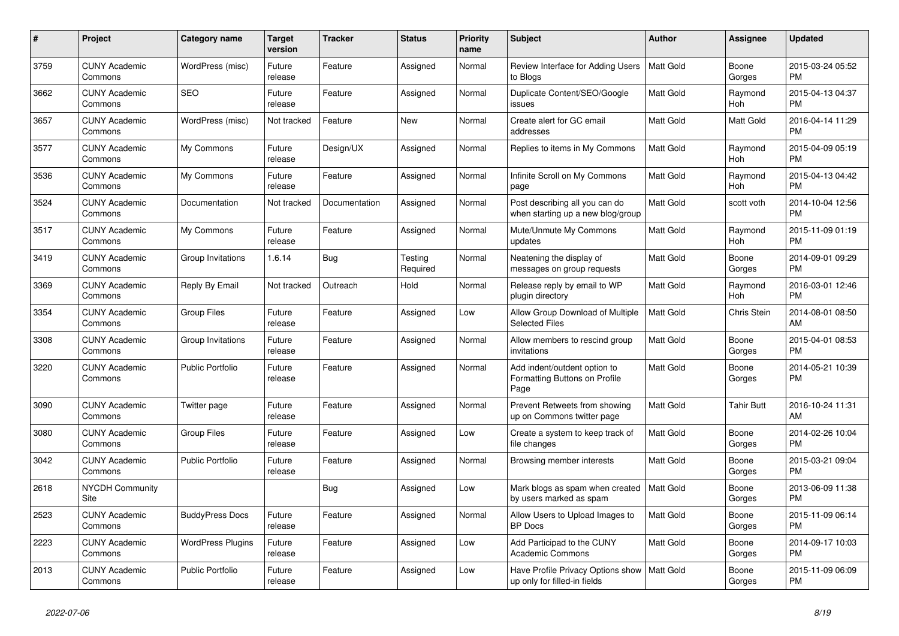| $\#$ | Project                         | <b>Category name</b>     | <b>Target</b><br>version | <b>Tracker</b> | <b>Status</b>       | <b>Priority</b><br>name | <b>Subject</b>                                                        | <b>Author</b>    | Assignee        | <b>Updated</b>                |
|------|---------------------------------|--------------------------|--------------------------|----------------|---------------------|-------------------------|-----------------------------------------------------------------------|------------------|-----------------|-------------------------------|
| 3759 | <b>CUNY Academic</b><br>Commons | WordPress (misc)         | Future<br>release        | Feature        | Assigned            | Normal                  | Review Interface for Adding Users<br>to Blogs                         | Matt Gold        | Boone<br>Gorges | 2015-03-24 05:52<br><b>PM</b> |
| 3662 | <b>CUNY Academic</b><br>Commons | <b>SEO</b>               | Future<br>release        | Feature        | Assigned            | Normal                  | Duplicate Content/SEO/Google<br>issues                                | <b>Matt Gold</b> | Raymond<br>Hoh  | 2015-04-13 04:37<br><b>PM</b> |
| 3657 | <b>CUNY Academic</b><br>Commons | WordPress (misc)         | Not tracked              | Feature        | New                 | Normal                  | Create alert for GC email<br>addresses                                | Matt Gold        | Matt Gold       | 2016-04-14 11:29<br><b>PM</b> |
| 3577 | <b>CUNY Academic</b><br>Commons | My Commons               | Future<br>release        | Design/UX      | Assigned            | Normal                  | Replies to items in My Commons                                        | <b>Matt Gold</b> | Raymond<br>Hoh  | 2015-04-09 05:19<br><b>PM</b> |
| 3536 | <b>CUNY Academic</b><br>Commons | My Commons               | Future<br>release        | Feature        | Assigned            | Normal                  | Infinite Scroll on My Commons<br>page                                 | Matt Gold        | Raymond<br>Hoh  | 2015-04-13 04:42<br><b>PM</b> |
| 3524 | <b>CUNY Academic</b><br>Commons | Documentation            | Not tracked              | Documentation  | Assigned            | Normal                  | Post describing all you can do<br>when starting up a new blog/group   | <b>Matt Gold</b> | scott voth      | 2014-10-04 12:56<br><b>PM</b> |
| 3517 | <b>CUNY Academic</b><br>Commons | My Commons               | Future<br>release        | Feature        | Assigned            | Normal                  | Mute/Unmute My Commons<br>updates                                     | <b>Matt Gold</b> | Raymond<br>Hoh  | 2015-11-09 01:19<br><b>PM</b> |
| 3419 | <b>CUNY Academic</b><br>Commons | Group Invitations        | 1.6.14                   | Bug            | Testing<br>Required | Normal                  | Neatening the display of<br>messages on group requests                | <b>Matt Gold</b> | Boone<br>Gorges | 2014-09-01 09:29<br><b>PM</b> |
| 3369 | <b>CUNY Academic</b><br>Commons | Reply By Email           | Not tracked              | Outreach       | Hold                | Normal                  | Release reply by email to WP<br>plugin directory                      | <b>Matt Gold</b> | Raymond<br>Hoh  | 2016-03-01 12:46<br><b>PM</b> |
| 3354 | <b>CUNY Academic</b><br>Commons | <b>Group Files</b>       | Future<br>release        | Feature        | Assigned            | Low                     | Allow Group Download of Multiple<br><b>Selected Files</b>             | Matt Gold        | Chris Stein     | 2014-08-01 08:50<br>AM        |
| 3308 | <b>CUNY Academic</b><br>Commons | Group Invitations        | Future<br>release        | Feature        | Assigned            | Normal                  | Allow members to rescind group<br>invitations                         | Matt Gold        | Boone<br>Gorges | 2015-04-01 08:53<br><b>PM</b> |
| 3220 | <b>CUNY Academic</b><br>Commons | <b>Public Portfolio</b>  | Future<br>release        | Feature        | Assigned            | Normal                  | Add indent/outdent option to<br>Formatting Buttons on Profile<br>Page | <b>Matt Gold</b> | Boone<br>Gorges | 2014-05-21 10:39<br><b>PM</b> |
| 3090 | <b>CUNY Academic</b><br>Commons | Twitter page             | Future<br>release        | Feature        | Assigned            | Normal                  | Prevent Retweets from showing<br>up on Commons twitter page           | Matt Gold        | Tahir Butt      | 2016-10-24 11:31<br>AM        |
| 3080 | <b>CUNY Academic</b><br>Commons | <b>Group Files</b>       | Future<br>release        | Feature        | Assigned            | Low                     | Create a system to keep track of<br>file changes                      | Matt Gold        | Boone<br>Gorges | 2014-02-26 10:04<br>PM        |
| 3042 | <b>CUNY Academic</b><br>Commons | <b>Public Portfolio</b>  | Future<br>release        | Feature        | Assigned            | Normal                  | Browsing member interests                                             | <b>Matt Gold</b> | Boone<br>Gorges | 2015-03-21 09:04<br><b>PM</b> |
| 2618 | <b>NYCDH Community</b><br>Site  |                          |                          | Bug            | Assigned            | Low                     | Mark blogs as spam when created<br>by users marked as spam            | <b>Matt Gold</b> | Boone<br>Gorges | 2013-06-09 11:38<br><b>PM</b> |
| 2523 | <b>CUNY Academic</b><br>Commons | <b>BuddyPress Docs</b>   | Future<br>release        | Feature        | Assigned            | Normal                  | Allow Users to Upload Images to<br><b>BP</b> Docs                     | Matt Gold        | Boone<br>Gorges | 2015-11-09 06:14<br><b>PM</b> |
| 2223 | <b>CUNY Academic</b><br>Commons | <b>WordPress Plugins</b> | Future<br>release        | Feature        | Assigned            | Low                     | Add Participad to the CUNY<br><b>Academic Commons</b>                 | <b>Matt Gold</b> | Boone<br>Gorges | 2014-09-17 10:03<br><b>PM</b> |
| 2013 | <b>CUNY Academic</b><br>Commons | <b>Public Portfolio</b>  | Future<br>release        | Feature        | Assigned            | Low                     | Have Profile Privacy Options show<br>up only for filled-in fields     | Matt Gold        | Boone<br>Gorges | 2015-11-09 06:09<br><b>PM</b> |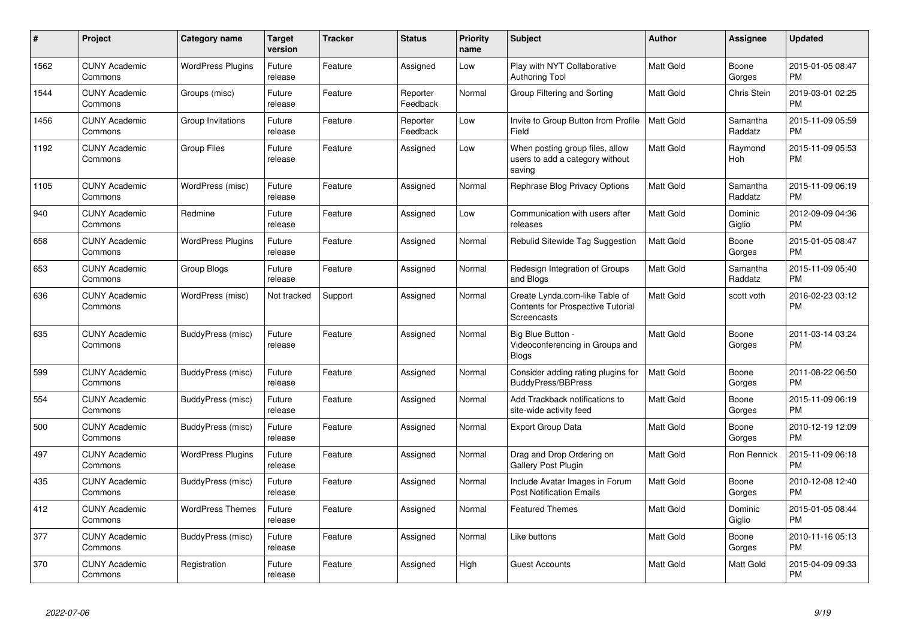| #    | Project                         | <b>Category name</b>     | <b>Target</b><br>version | <b>Tracker</b> | <b>Status</b>        | <b>Priority</b><br>name | <b>Subject</b>                                                                                   | Author           | <b>Assignee</b>     | <b>Updated</b>                |
|------|---------------------------------|--------------------------|--------------------------|----------------|----------------------|-------------------------|--------------------------------------------------------------------------------------------------|------------------|---------------------|-------------------------------|
| 1562 | <b>CUNY Academic</b><br>Commons | <b>WordPress Plugins</b> | Future<br>release        | Feature        | Assigned             | Low                     | Play with NYT Collaborative<br><b>Authoring Tool</b>                                             | <b>Matt Gold</b> | Boone<br>Gorges     | 2015-01-05 08:47<br><b>PM</b> |
| 1544 | <b>CUNY Academic</b><br>Commons | Groups (misc)            | Future<br>release        | Feature        | Reporter<br>Feedback | Normal                  | Group Filtering and Sorting                                                                      | <b>Matt Gold</b> | Chris Stein         | 2019-03-01 02:25<br><b>PM</b> |
| 1456 | <b>CUNY Academic</b><br>Commons | Group Invitations        | Future<br>release        | Feature        | Reporter<br>Feedback | Low                     | Invite to Group Button from Profile<br>Field                                                     | <b>Matt Gold</b> | Samantha<br>Raddatz | 2015-11-09 05:59<br><b>PM</b> |
| 1192 | <b>CUNY Academic</b><br>Commons | Group Files              | Future<br>release        | Feature        | Assigned             | Low                     | When posting group files, allow<br>users to add a category without<br>saving                     | Matt Gold        | Raymond<br>Hoh      | 2015-11-09 05:53<br><b>PM</b> |
| 1105 | <b>CUNY Academic</b><br>Commons | WordPress (misc)         | Future<br>release        | Feature        | Assigned             | Normal                  | <b>Rephrase Blog Privacy Options</b>                                                             | <b>Matt Gold</b> | Samantha<br>Raddatz | 2015-11-09 06:19<br><b>PM</b> |
| 940  | <b>CUNY Academic</b><br>Commons | Redmine                  | Future<br>release        | Feature        | Assigned             | Low                     | Communication with users after<br>releases                                                       | <b>Matt Gold</b> | Dominic<br>Giglio   | 2012-09-09 04:36<br><b>PM</b> |
| 658  | <b>CUNY Academic</b><br>Commons | <b>WordPress Plugins</b> | Future<br>release        | Feature        | Assigned             | Normal                  | Rebulid Sitewide Tag Suggestion                                                                  | <b>Matt Gold</b> | Boone<br>Gorges     | 2015-01-05 08:47<br><b>PM</b> |
| 653  | <b>CUNY Academic</b><br>Commons | Group Blogs              | Future<br>release        | Feature        | Assigned             | Normal                  | Redesign Integration of Groups<br>and Blogs                                                      | <b>Matt Gold</b> | Samantha<br>Raddatz | 2015-11-09 05:40<br><b>PM</b> |
| 636  | <b>CUNY Academic</b><br>Commons | WordPress (misc)         | Not tracked              | Support        | Assigned             | Normal                  | Create Lynda.com-like Table of<br><b>Contents for Prospective Tutorial</b><br><b>Screencasts</b> | <b>Matt Gold</b> | scott voth          | 2016-02-23 03:12<br><b>PM</b> |
| 635  | <b>CUNY Academic</b><br>Commons | BuddyPress (misc)        | Future<br>release        | Feature        | Assigned             | Normal                  | Big Blue Button -<br>Videoconferencing in Groups and<br>Blogs                                    | <b>Matt Gold</b> | Boone<br>Gorges     | 2011-03-14 03:24<br><b>PM</b> |
| 599  | <b>CUNY Academic</b><br>Commons | BuddyPress (misc)        | Future<br>release        | Feature        | Assigned             | Normal                  | Consider adding rating plugins for<br><b>BuddyPress/BBPress</b>                                  | <b>Matt Gold</b> | Boone<br>Gorges     | 2011-08-22 06:50<br><b>PM</b> |
| 554  | <b>CUNY Academic</b><br>Commons | BuddyPress (misc)        | Future<br>release        | Feature        | Assigned             | Normal                  | Add Trackback notifications to<br>site-wide activity feed                                        | <b>Matt Gold</b> | Boone<br>Gorges     | 2015-11-09 06:19<br><b>PM</b> |
| 500  | <b>CUNY Academic</b><br>Commons | BuddyPress (misc)        | Future<br>release        | Feature        | Assigned             | Normal                  | Export Group Data                                                                                | <b>Matt Gold</b> | Boone<br>Gorges     | 2010-12-19 12:09<br><b>PM</b> |
| 497  | <b>CUNY Academic</b><br>Commons | <b>WordPress Plugins</b> | Future<br>release        | Feature        | Assigned             | Normal                  | Drag and Drop Ordering on<br>Gallery Post Plugin                                                 | <b>Matt Gold</b> | Ron Rennick         | 2015-11-09 06:18<br><b>PM</b> |
| 435  | <b>CUNY Academic</b><br>Commons | BuddyPress (misc)        | Future<br>release        | Feature        | Assigned             | Normal                  | Include Avatar Images in Forum<br><b>Post Notification Emails</b>                                | <b>Matt Gold</b> | Boone<br>Gorges     | 2010-12-08 12:40<br><b>PM</b> |
| 412  | <b>CUNY Academic</b><br>Commons | <b>WordPress Themes</b>  | Future<br>release        | Feature        | Assigned             | Normal                  | <b>Featured Themes</b>                                                                           | Matt Gold        | Dominic<br>Giglio   | 2015-01-05 08:44<br><b>PM</b> |
| 377  | <b>CUNY Academic</b><br>Commons | BuddyPress (misc)        | Future<br>release        | Feature        | Assigned             | Normal                  | Like buttons                                                                                     | <b>Matt Gold</b> | Boone<br>Gorges     | 2010-11-16 05:13<br><b>PM</b> |
| 370  | <b>CUNY Academic</b><br>Commons | Registration             | Future<br>release        | Feature        | Assigned             | High                    | <b>Guest Accounts</b>                                                                            | <b>Matt Gold</b> | Matt Gold           | 2015-04-09 09:33<br><b>PM</b> |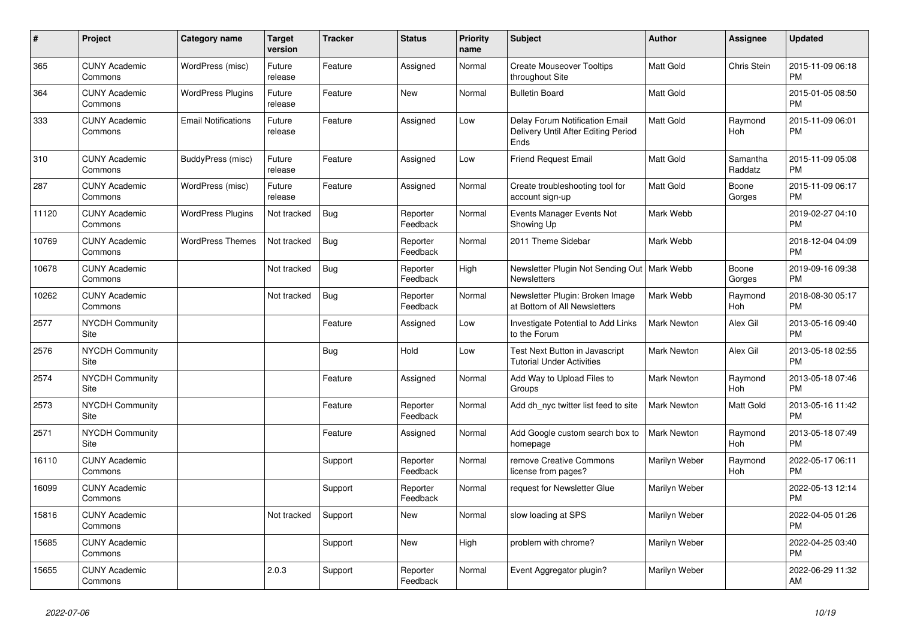| #     | <b>Project</b>                  | <b>Category name</b>       | <b>Target</b><br>version | <b>Tracker</b> | <b>Status</b>        | <b>Priority</b><br>name | <b>Subject</b>                                                                | <b>Author</b>      | Assignee            | <b>Updated</b>                |
|-------|---------------------------------|----------------------------|--------------------------|----------------|----------------------|-------------------------|-------------------------------------------------------------------------------|--------------------|---------------------|-------------------------------|
| 365   | <b>CUNY Academic</b><br>Commons | WordPress (misc)           | Future<br>release        | Feature        | Assigned             | Normal                  | <b>Create Mouseover Tooltips</b><br>throughout Site                           | <b>Matt Gold</b>   | Chris Stein         | 2015-11-09 06:18<br><b>PM</b> |
| 364   | <b>CUNY Academic</b><br>Commons | <b>WordPress Plugins</b>   | Future<br>release        | Feature        | New                  | Normal                  | <b>Bulletin Board</b>                                                         | <b>Matt Gold</b>   |                     | 2015-01-05 08:50<br><b>PM</b> |
| 333   | <b>CUNY Academic</b><br>Commons | <b>Email Notifications</b> | Future<br>release        | Feature        | Assigned             | Low                     | Delay Forum Notification Email<br>Delivery Until After Editing Period<br>Ends | <b>Matt Gold</b>   | Raymond<br>Hoh      | 2015-11-09 06:01<br><b>PM</b> |
| 310   | <b>CUNY Academic</b><br>Commons | <b>BuddyPress</b> (misc)   | Future<br>release        | Feature        | Assigned             | Low                     | <b>Friend Request Email</b>                                                   | <b>Matt Gold</b>   | Samantha<br>Raddatz | 2015-11-09 05:08<br><b>PM</b> |
| 287   | <b>CUNY Academic</b><br>Commons | WordPress (misc)           | Future<br>release        | Feature        | Assigned             | Normal                  | Create troubleshooting tool for<br>account sign-up                            | <b>Matt Gold</b>   | Boone<br>Gorges     | 2015-11-09 06:17<br><b>PM</b> |
| 11120 | <b>CUNY Academic</b><br>Commons | <b>WordPress Plugins</b>   | Not tracked              | Bug            | Reporter<br>Feedback | Normal                  | Events Manager Events Not<br>Showing Up                                       | Mark Webb          |                     | 2019-02-27 04:10<br><b>PM</b> |
| 10769 | <b>CUNY Academic</b><br>Commons | <b>WordPress Themes</b>    | Not tracked              | Bug            | Reporter<br>Feedback | Normal                  | 2011 Theme Sidebar                                                            | Mark Webb          |                     | 2018-12-04 04:09<br><b>PM</b> |
| 10678 | <b>CUNY Academic</b><br>Commons |                            | Not tracked              | <b>Bug</b>     | Reporter<br>Feedback | High                    | Newsletter Plugin Not Sending Out   Mark Webb<br><b>Newsletters</b>           |                    | Boone<br>Gorges     | 2019-09-16 09:38<br><b>PM</b> |
| 10262 | <b>CUNY Academic</b><br>Commons |                            | Not tracked              | <b>Bug</b>     | Reporter<br>Feedback | Normal                  | Newsletter Plugin: Broken Image<br>at Bottom of All Newsletters               | Mark Webb          | Raymond<br>Hoh      | 2018-08-30 05:17<br><b>PM</b> |
| 2577  | <b>NYCDH Community</b><br>Site  |                            |                          | Feature        | Assigned             | Low                     | <b>Investigate Potential to Add Links</b><br>to the Forum                     | <b>Mark Newton</b> | Alex Gil            | 2013-05-16 09:40<br><b>PM</b> |
| 2576  | <b>NYCDH Community</b><br>Site  |                            |                          | Bug            | Hold                 | Low                     | Test Next Button in Javascript<br><b>Tutorial Under Activities</b>            | <b>Mark Newton</b> | Alex Gil            | 2013-05-18 02:55<br><b>PM</b> |
| 2574  | <b>NYCDH Community</b><br>Site  |                            |                          | Feature        | Assigned             | Normal                  | Add Way to Upload Files to<br>Groups                                          | <b>Mark Newton</b> | Raymond<br>Hoh      | 2013-05-18 07:46<br><b>PM</b> |
| 2573  | <b>NYCDH Community</b><br>Site  |                            |                          | Feature        | Reporter<br>Feedback | Normal                  | Add dh nyc twitter list feed to site                                          | <b>Mark Newton</b> | Matt Gold           | 2013-05-16 11:42<br><b>PM</b> |
| 2571  | <b>NYCDH Community</b><br>Site  |                            |                          | Feature        | Assigned             | Normal                  | Add Google custom search box to<br>homepage                                   | Mark Newton        | Raymond<br>Hoh      | 2013-05-18 07:49<br><b>PM</b> |
| 16110 | <b>CUNY Academic</b><br>Commons |                            |                          | Support        | Reporter<br>Feedback | Normal                  | remove Creative Commons<br>license from pages?                                | Marilyn Weber      | Raymond<br>Hoh      | 2022-05-17 06:11<br><b>PM</b> |
| 16099 | <b>CUNY Academic</b><br>Commons |                            |                          | Support        | Reporter<br>Feedback | Normal                  | request for Newsletter Glue                                                   | Marilyn Weber      |                     | 2022-05-13 12:14<br><b>PM</b> |
| 15816 | <b>CUNY Academic</b><br>Commons |                            | Not tracked              | Support        | New                  | Normal                  | slow loading at SPS                                                           | Marilyn Weber      |                     | 2022-04-05 01:26<br><b>PM</b> |
| 15685 | <b>CUNY Academic</b><br>Commons |                            |                          | Support        | <b>New</b>           | High                    | problem with chrome?                                                          | Marilyn Weber      |                     | 2022-04-25 03:40<br><b>PM</b> |
| 15655 | <b>CUNY Academic</b><br>Commons |                            | 2.0.3                    | Support        | Reporter<br>Feedback | Normal                  | Event Aggregator plugin?                                                      | Marilyn Weber      |                     | 2022-06-29 11:32<br>AM        |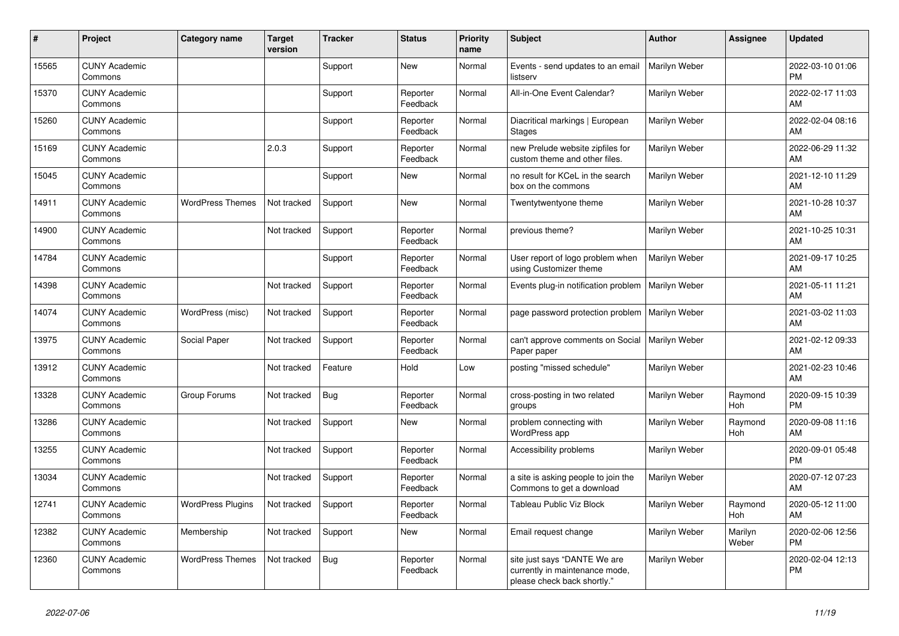| #     | Project                         | <b>Category name</b>     | <b>Target</b><br>version | <b>Tracker</b> | <b>Status</b>        | <b>Priority</b><br>name | <b>Subject</b>                                                                                | Author        | <b>Assignee</b>  | <b>Updated</b>                |
|-------|---------------------------------|--------------------------|--------------------------|----------------|----------------------|-------------------------|-----------------------------------------------------------------------------------------------|---------------|------------------|-------------------------------|
| 15565 | <b>CUNY Academic</b><br>Commons |                          |                          | Support        | New                  | Normal                  | Events - send updates to an email<br>listserv                                                 | Marilyn Weber |                  | 2022-03-10 01:06<br>PM        |
| 15370 | <b>CUNY Academic</b><br>Commons |                          |                          | Support        | Reporter<br>Feedback | Normal                  | All-in-One Event Calendar?                                                                    | Marilyn Weber |                  | 2022-02-17 11:03<br>AM        |
| 15260 | <b>CUNY Academic</b><br>Commons |                          |                          | Support        | Reporter<br>Feedback | Normal                  | Diacritical markings   European<br><b>Stages</b>                                              | Marilyn Weber |                  | 2022-02-04 08:16<br>AM        |
| 15169 | <b>CUNY Academic</b><br>Commons |                          | 2.0.3                    | Support        | Reporter<br>Feedback | Normal                  | new Prelude website zipfiles for<br>custom theme and other files.                             | Marilyn Weber |                  | 2022-06-29 11:32<br>AM        |
| 15045 | <b>CUNY Academic</b><br>Commons |                          |                          | Support        | New                  | Normal                  | no result for KCeL in the search<br>box on the commons                                        | Marilyn Weber |                  | 2021-12-10 11:29<br>AM        |
| 14911 | <b>CUNY Academic</b><br>Commons | <b>WordPress Themes</b>  | Not tracked              | Support        | <b>New</b>           | Normal                  | Twentytwentyone theme                                                                         | Marilyn Weber |                  | 2021-10-28 10:37<br>AM        |
| 14900 | <b>CUNY Academic</b><br>Commons |                          | Not tracked              | Support        | Reporter<br>Feedback | Normal                  | previous theme?                                                                               | Marilyn Weber |                  | 2021-10-25 10:31<br>AM        |
| 14784 | <b>CUNY Academic</b><br>Commons |                          |                          | Support        | Reporter<br>Feedback | Normal                  | User report of logo problem when<br>using Customizer theme                                    | Marilyn Weber |                  | 2021-09-17 10:25<br>AM        |
| 14398 | <b>CUNY Academic</b><br>Commons |                          | Not tracked              | Support        | Reporter<br>Feedback | Normal                  | Events plug-in notification problem                                                           | Marilyn Weber |                  | 2021-05-11 11:21<br>AM        |
| 14074 | <b>CUNY Academic</b><br>Commons | WordPress (misc)         | Not tracked              | Support        | Reporter<br>Feedback | Normal                  | page password protection problem                                                              | Marilyn Weber |                  | 2021-03-02 11:03<br>AM        |
| 13975 | <b>CUNY Academic</b><br>Commons | Social Paper             | Not tracked              | Support        | Reporter<br>Feedback | Normal                  | can't approve comments on Social<br>Paper paper                                               | Marilyn Weber |                  | 2021-02-12 09:33<br>AM        |
| 13912 | <b>CUNY Academic</b><br>Commons |                          | Not tracked              | Feature        | Hold                 | Low                     | posting "missed schedule"                                                                     | Marilyn Weber |                  | 2021-02-23 10:46<br>AM        |
| 13328 | <b>CUNY Academic</b><br>Commons | Group Forums             | Not tracked              | <b>Bug</b>     | Reporter<br>Feedback | Normal                  | cross-posting in two related<br>groups                                                        | Marilyn Weber | Raymond<br>Hoh   | 2020-09-15 10:39<br><b>PM</b> |
| 13286 | <b>CUNY Academic</b><br>Commons |                          | Not tracked              | Support        | New                  | Normal                  | problem connecting with<br><b>WordPress app</b>                                               | Marilyn Weber | Raymond<br>Hoh   | 2020-09-08 11:16<br>AM        |
| 13255 | <b>CUNY Academic</b><br>Commons |                          | Not tracked              | Support        | Reporter<br>Feedback | Normal                  | Accessibility problems                                                                        | Marilyn Weber |                  | 2020-09-01 05:48<br>PM        |
| 13034 | <b>CUNY Academic</b><br>Commons |                          | Not tracked              | Support        | Reporter<br>Feedback | Normal                  | a site is asking people to join the<br>Commons to get a download                              | Marilyn Weber |                  | 2020-07-12 07:23<br>AM        |
| 12741 | <b>CUNY Academic</b><br>Commons | <b>WordPress Plugins</b> | Not tracked              | Support        | Reporter<br>Feedback | Normal                  | Tableau Public Viz Block                                                                      | Marilyn Weber | Raymond<br>Hoh   | 2020-05-12 11:00<br>AM        |
| 12382 | <b>CUNY Academic</b><br>Commons | Membership               | Not tracked              | Support        | <b>New</b>           | Normal                  | Email request change                                                                          | Marilyn Weber | Marilyn<br>Weber | 2020-02-06 12:56<br><b>PM</b> |
| 12360 | <b>CUNY Academic</b><br>Commons | <b>WordPress Themes</b>  | Not tracked              | Bug            | Reporter<br>Feedback | Normal                  | site just says "DANTE We are<br>currently in maintenance mode,<br>please check back shortly." | Marilyn Weber |                  | 2020-02-04 12:13<br><b>PM</b> |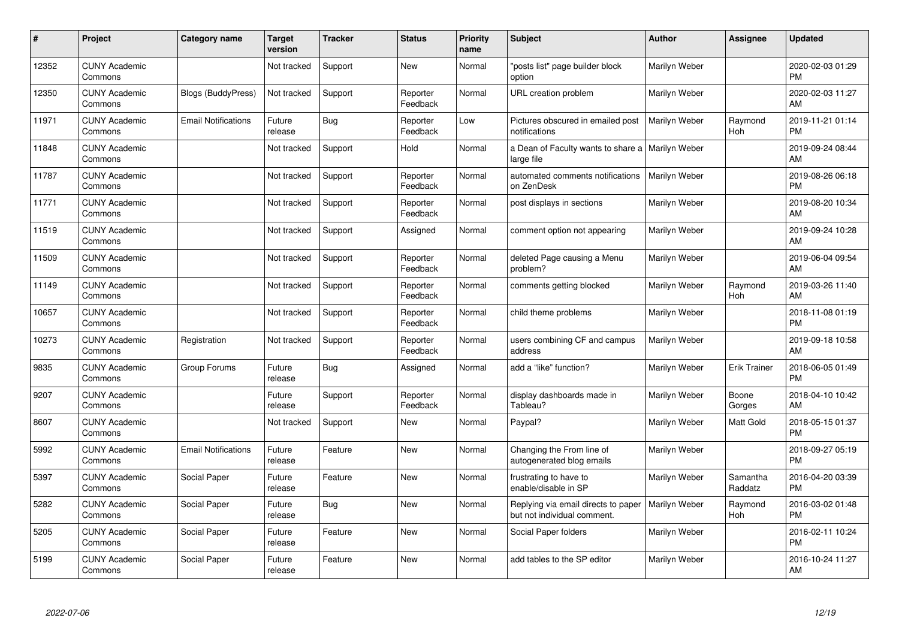| #     | Project                         | <b>Category name</b>       | <b>Target</b><br>version | <b>Tracker</b> | <b>Status</b>        | <b>Priority</b><br>name | <b>Subject</b>                                                     | Author        | <b>Assignee</b>     | <b>Updated</b>                |
|-------|---------------------------------|----------------------------|--------------------------|----------------|----------------------|-------------------------|--------------------------------------------------------------------|---------------|---------------------|-------------------------------|
| 12352 | <b>CUNY Academic</b><br>Commons |                            | Not tracked              | Support        | <b>New</b>           | Normal                  | 'posts list" page builder block<br>option                          | Marilyn Weber |                     | 2020-02-03 01:29<br><b>PM</b> |
| 12350 | <b>CUNY Academic</b><br>Commons | <b>Blogs (BuddyPress)</b>  | Not tracked              | Support        | Reporter<br>Feedback | Normal                  | URL creation problem                                               | Marilyn Weber |                     | 2020-02-03 11:27<br>AM        |
| 11971 | <b>CUNY Academic</b><br>Commons | <b>Email Notifications</b> | Future<br>release        | Bug            | Reporter<br>Feedback | Low                     | Pictures obscured in emailed post<br>notifications                 | Marilyn Weber | Raymond<br>Hoh      | 2019-11-21 01:14<br><b>PM</b> |
| 11848 | <b>CUNY Academic</b><br>Commons |                            | Not tracked              | Support        | Hold                 | Normal                  | a Dean of Faculty wants to share a   Marilyn Weber<br>large file   |               |                     | 2019-09-24 08:44<br>AM        |
| 11787 | <b>CUNY Academic</b><br>Commons |                            | Not tracked              | Support        | Reporter<br>Feedback | Normal                  | automated comments notifications<br>on ZenDesk                     | Marilyn Weber |                     | 2019-08-26 06:18<br><b>PM</b> |
| 11771 | <b>CUNY Academic</b><br>Commons |                            | Not tracked              | Support        | Reporter<br>Feedback | Normal                  | post displays in sections                                          | Marilyn Weber |                     | 2019-08-20 10:34<br>AM        |
| 11519 | <b>CUNY Academic</b><br>Commons |                            | Not tracked              | Support        | Assigned             | Normal                  | comment option not appearing                                       | Marilyn Weber |                     | 2019-09-24 10:28<br>AM        |
| 11509 | <b>CUNY Academic</b><br>Commons |                            | Not tracked              | Support        | Reporter<br>Feedback | Normal                  | deleted Page causing a Menu<br>problem?                            | Marilyn Weber |                     | 2019-06-04 09:54<br>AM        |
| 11149 | <b>CUNY Academic</b><br>Commons |                            | Not tracked              | Support        | Reporter<br>Feedback | Normal                  | comments getting blocked                                           | Marilyn Weber | Raymond<br>Hoh      | 2019-03-26 11:40<br>AM        |
| 10657 | <b>CUNY Academic</b><br>Commons |                            | Not tracked              | Support        | Reporter<br>Feedback | Normal                  | child theme problems                                               | Marilyn Weber |                     | 2018-11-08 01:19<br><b>PM</b> |
| 10273 | <b>CUNY Academic</b><br>Commons | Registration               | Not tracked              | Support        | Reporter<br>Feedback | Normal                  | users combining CF and campus<br>address                           | Marilyn Weber |                     | 2019-09-18 10:58<br>AM        |
| 9835  | <b>CUNY Academic</b><br>Commons | Group Forums               | Future<br>release        | Bug            | Assigned             | Normal                  | add a "like" function?                                             | Marilyn Weber | Erik Trainer        | 2018-06-05 01:49<br><b>PM</b> |
| 9207  | <b>CUNY Academic</b><br>Commons |                            | Future<br>release        | Support        | Reporter<br>Feedback | Normal                  | display dashboards made in<br>Tableau?                             | Marilyn Weber | Boone<br>Gorges     | 2018-04-10 10:42<br>AM        |
| 8607  | <b>CUNY Academic</b><br>Commons |                            | Not tracked              | Support        | <b>New</b>           | Normal                  | Paypal?                                                            | Marilyn Weber | Matt Gold           | 2018-05-15 01:37<br><b>PM</b> |
| 5992  | <b>CUNY Academic</b><br>Commons | <b>Email Notifications</b> | Future<br>release        | Feature        | New                  | Normal                  | Changing the From line of<br>autogenerated blog emails             | Marilyn Weber |                     | 2018-09-27 05:19<br><b>PM</b> |
| 5397  | <b>CUNY Academic</b><br>Commons | Social Paper               | Future<br>release        | Feature        | New                  | Normal                  | frustrating to have to<br>enable/disable in SP                     | Marilyn Weber | Samantha<br>Raddatz | 2016-04-20 03:39<br><b>PM</b> |
| 5282  | <b>CUNY Academic</b><br>Commons | Social Paper               | Future<br>release        | Bug            | New                  | Normal                  | Replying via email directs to paper<br>but not individual comment. | Marilyn Weber | Raymond<br>Hoh      | 2016-03-02 01:48<br><b>PM</b> |
| 5205  | <b>CUNY Academic</b><br>Commons | <b>Social Paper</b>        | Future<br>release        | Feature        | New                  | Normal                  | Social Paper folders                                               | Marilyn Weber |                     | 2016-02-11 10:24<br><b>PM</b> |
| 5199  | <b>CUNY Academic</b><br>Commons | Social Paper               | Future<br>release        | Feature        | <b>New</b>           | Normal                  | add tables to the SP editor                                        | Marilyn Weber |                     | 2016-10-24 11:27<br>AM        |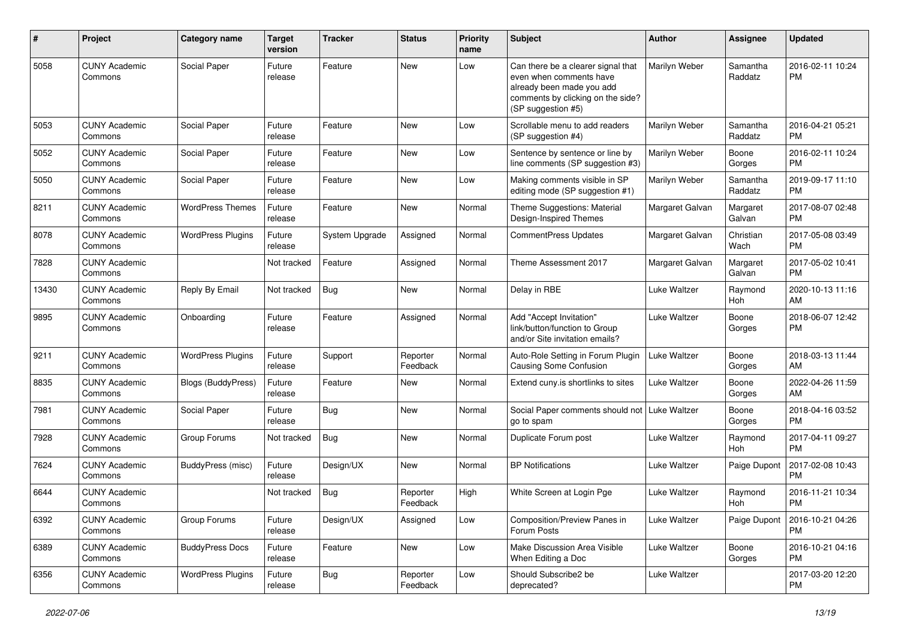| #     | Project                         | <b>Category name</b>      | <b>Target</b><br>version | <b>Tracker</b> | <b>Status</b>        | Priority<br>name | Subject                                                                                                                                               | Author          | <b>Assignee</b>     | <b>Updated</b>                |
|-------|---------------------------------|---------------------------|--------------------------|----------------|----------------------|------------------|-------------------------------------------------------------------------------------------------------------------------------------------------------|-----------------|---------------------|-------------------------------|
| 5058  | <b>CUNY Academic</b><br>Commons | Social Paper              | Future<br>release        | Feature        | New                  | Low              | Can there be a clearer signal that<br>even when comments have<br>already been made you add<br>comments by clicking on the side?<br>(SP suggestion #5) | Marilyn Weber   | Samantha<br>Raddatz | 2016-02-11 10:24<br><b>PM</b> |
| 5053  | <b>CUNY Academic</b><br>Commons | Social Paper              | Future<br>release        | Feature        | New                  | Low              | Scrollable menu to add readers<br>(SP suggestion #4)                                                                                                  | Marilyn Weber   | Samantha<br>Raddatz | 2016-04-21 05:21<br><b>PM</b> |
| 5052  | <b>CUNY Academic</b><br>Commons | Social Paper              | Future<br>release        | Feature        | New                  | Low              | Sentence by sentence or line by<br>line comments (SP suggestion #3)                                                                                   | Marilyn Weber   | Boone<br>Gorges     | 2016-02-11 10:24<br><b>PM</b> |
| 5050  | <b>CUNY Academic</b><br>Commons | Social Paper              | Future<br>release        | Feature        | New                  | Low              | Making comments visible in SP<br>editing mode (SP suggestion #1)                                                                                      | Marilyn Weber   | Samantha<br>Raddatz | 2019-09-17 11:10<br><b>PM</b> |
| 8211  | <b>CUNY Academic</b><br>Commons | <b>WordPress Themes</b>   | Future<br>release        | Feature        | New                  | Normal           | Theme Suggestions: Material<br>Design-Inspired Themes                                                                                                 | Margaret Galvan | Margaret<br>Galvan  | 2017-08-07 02:48<br><b>PM</b> |
| 8078  | <b>CUNY Academic</b><br>Commons | <b>WordPress Plugins</b>  | Future<br>release        | System Upgrade | Assigned             | Normal           | CommentPress Updates                                                                                                                                  | Margaret Galvan | Christian<br>Wach   | 2017-05-08 03:49<br><b>PM</b> |
| 7828  | <b>CUNY Academic</b><br>Commons |                           | Not tracked              | Feature        | Assigned             | Normal           | Theme Assessment 2017                                                                                                                                 | Margaret Galvan | Margaret<br>Galvan  | 2017-05-02 10:41<br><b>PM</b> |
| 13430 | <b>CUNY Academic</b><br>Commons | Reply By Email            | Not tracked              | <b>Bug</b>     | New                  | Normal           | Delay in RBE                                                                                                                                          | Luke Waltzer    | Raymond<br>Hoh      | 2020-10-13 11:16<br>AM        |
| 9895  | <b>CUNY Academic</b><br>Commons | Onboarding                | Future<br>release        | Feature        | Assigned             | Normal           | Add "Accept Invitation"<br>link/button/function to Group<br>and/or Site invitation emails?                                                            | Luke Waltzer    | Boone<br>Gorges     | 2018-06-07 12:42<br><b>PM</b> |
| 9211  | <b>CUNY Academic</b><br>Commons | <b>WordPress Plugins</b>  | Future<br>release        | Support        | Reporter<br>Feedback | Normal           | Auto-Role Setting in Forum Plugin<br><b>Causing Some Confusion</b>                                                                                    | Luke Waltzer    | Boone<br>Gorges     | 2018-03-13 11:44<br>AM        |
| 8835  | <b>CUNY Academic</b><br>Commons | <b>Blogs (BuddyPress)</b> | Future<br>release        | Feature        | New                  | Normal           | Extend cuny is shortlinks to sites                                                                                                                    | Luke Waltzer    | Boone<br>Gorges     | 2022-04-26 11:59<br>AM        |
| 7981  | <b>CUNY Academic</b><br>Commons | Social Paper              | Future<br>release        | <b>Bug</b>     | New                  | Normal           | Social Paper comments should not   Luke Waltzer<br>go to spam                                                                                         |                 | Boone<br>Gorges     | 2018-04-16 03:52<br><b>PM</b> |
| 7928  | <b>CUNY Academic</b><br>Commons | Group Forums              | Not tracked              | Bug            | New                  | Normal           | Duplicate Forum post                                                                                                                                  | Luke Waltzer    | Raymond<br>Hoh      | 2017-04-11 09:27<br><b>PM</b> |
| 7624  | <b>CUNY Academic</b><br>Commons | BuddyPress (misc)         | Future<br>release        | Design/UX      | New                  | Normal           | <b>BP Notifications</b>                                                                                                                               | Luke Waltzer    | Paige Dupont        | 2017-02-08 10:43<br><b>PM</b> |
| 6644  | <b>CUNY Academic</b><br>Commons |                           | Not tracked              | <b>Bug</b>     | Reporter<br>Feedback | High             | White Screen at Login Pge                                                                                                                             | Luke Waltzer    | Raymond<br>Hoh      | 2016-11-21 10:34<br>PM        |
| 6392  | <b>CUNY Academic</b><br>Commons | Group Forums              | Future<br>release        | Design/UX      | Assigned             | Low              | Composition/Preview Panes in<br>Forum Posts                                                                                                           | Luke Waltzer    | Paige Dupont        | 2016-10-21 04:26<br><b>PM</b> |
| 6389  | <b>CUNY Academic</b><br>Commons | <b>BuddyPress Docs</b>    | Future<br>release        | Feature        | New                  | Low              | Make Discussion Area Visible<br>When Editing a Doc                                                                                                    | Luke Waltzer    | Boone<br>Gorges     | 2016-10-21 04:16<br><b>PM</b> |
| 6356  | <b>CUNY Academic</b><br>Commons | <b>WordPress Plugins</b>  | Future<br>release        | <b>Bug</b>     | Reporter<br>Feedback | Low              | Should Subscribe2 be<br>deprecated?                                                                                                                   | Luke Waltzer    |                     | 2017-03-20 12:20<br><b>PM</b> |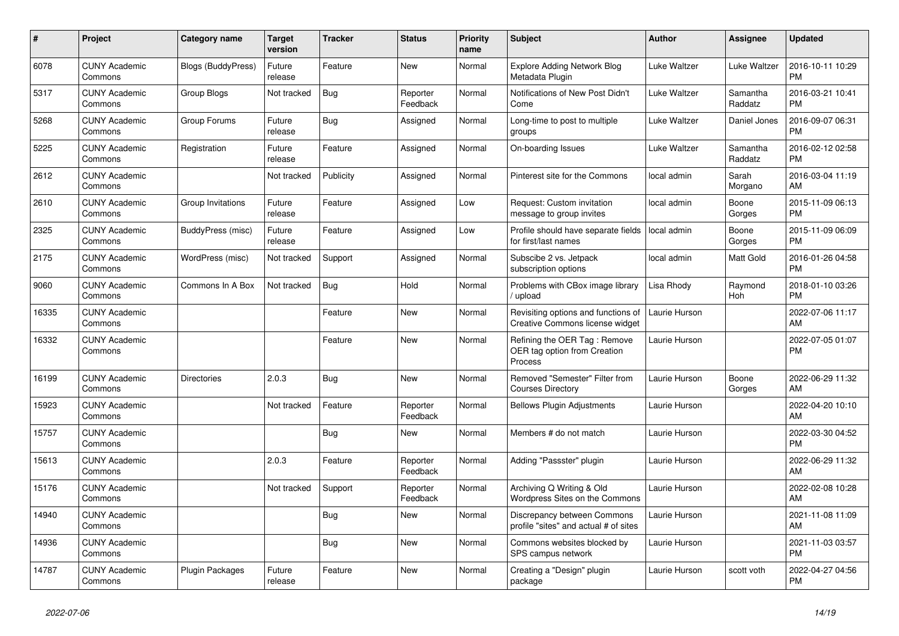| #     | <b>Project</b>                  | <b>Category name</b>      | <b>Target</b><br>version | <b>Tracker</b> | <b>Status</b>        | <b>Priority</b><br>name | <b>Subject</b>                                                          | <b>Author</b> | Assignee            | <b>Updated</b>                |
|-------|---------------------------------|---------------------------|--------------------------|----------------|----------------------|-------------------------|-------------------------------------------------------------------------|---------------|---------------------|-------------------------------|
| 6078  | <b>CUNY Academic</b><br>Commons | <b>Blogs (BuddyPress)</b> | Future<br>release        | Feature        | New                  | Normal                  | <b>Explore Adding Network Blog</b><br>Metadata Plugin                   | Luke Waltzer  | Luke Waltzer        | 2016-10-11 10:29<br><b>PM</b> |
| 5317  | <b>CUNY Academic</b><br>Commons | <b>Group Blogs</b>        | Not tracked              | <b>Bug</b>     | Reporter<br>Feedback | Normal                  | Notifications of New Post Didn't<br>Come                                | Luke Waltzer  | Samantha<br>Raddatz | 2016-03-21 10:41<br><b>PM</b> |
| 5268  | <b>CUNY Academic</b><br>Commons | Group Forums              | Future<br>release        | <b>Bug</b>     | Assigned             | Normal                  | Long-time to post to multiple<br>groups                                 | Luke Waltzer  | Daniel Jones        | 2016-09-07 06:31<br><b>PM</b> |
| 5225  | <b>CUNY Academic</b><br>Commons | Registration              | Future<br>release        | Feature        | Assigned             | Normal                  | On-boarding Issues                                                      | Luke Waltzer  | Samantha<br>Raddatz | 2016-02-12 02:58<br><b>PM</b> |
| 2612  | <b>CUNY Academic</b><br>Commons |                           | Not tracked              | Publicity      | Assigned             | Normal                  | Pinterest site for the Commons                                          | local admin   | Sarah<br>Morgano    | 2016-03-04 11:19<br>AM        |
| 2610  | <b>CUNY Academic</b><br>Commons | Group Invitations         | Future<br>release        | Feature        | Assigned             | Low                     | Request: Custom invitation<br>message to group invites                  | local admin   | Boone<br>Gorges     | 2015-11-09 06:13<br><b>PM</b> |
| 2325  | <b>CUNY Academic</b><br>Commons | BuddyPress (misc)         | Future<br>release        | Feature        | Assigned             | Low                     | Profile should have separate fields<br>for first/last names             | local admin   | Boone<br>Gorges     | 2015-11-09 06:09<br><b>PM</b> |
| 2175  | <b>CUNY Academic</b><br>Commons | WordPress (misc)          | Not tracked              | Support        | Assigned             | Normal                  | Subscibe 2 vs. Jetpack<br>subscription options                          | local admin   | Matt Gold           | 2016-01-26 04:58<br><b>PM</b> |
| 9060  | <b>CUNY Academic</b><br>Commons | Commons In A Box          | Not tracked              | <b>Bug</b>     | Hold                 | Normal                  | Problems with CBox image library<br>/ upload                            | Lisa Rhody    | Raymond<br>Hoh      | 2018-01-10 03:26<br><b>PM</b> |
| 16335 | <b>CUNY Academic</b><br>Commons |                           |                          | Feature        | <b>New</b>           | Normal                  | Revisiting options and functions of<br>Creative Commons license widget  | Laurie Hurson |                     | 2022-07-06 11:17<br>AM        |
| 16332 | <b>CUNY Academic</b><br>Commons |                           |                          | Feature        | <b>New</b>           | Normal                  | Refining the OER Tag: Remove<br>OER tag option from Creation<br>Process | Laurie Hurson |                     | 2022-07-05 01:07<br><b>PM</b> |
| 16199 | <b>CUNY Academic</b><br>Commons | <b>Directories</b>        | 2.0.3                    | <b>Bug</b>     | New                  | Normal                  | Removed "Semester" Filter from<br><b>Courses Directory</b>              | Laurie Hurson | Boone<br>Gorges     | 2022-06-29 11:32<br>AM        |
| 15923 | <b>CUNY Academic</b><br>Commons |                           | Not tracked              | Feature        | Reporter<br>Feedback | Normal                  | <b>Bellows Plugin Adjustments</b>                                       | Laurie Hurson |                     | 2022-04-20 10:10<br>AM        |
| 15757 | <b>CUNY Academic</b><br>Commons |                           |                          | <b>Bug</b>     | New                  | Normal                  | Members # do not match                                                  | Laurie Hurson |                     | 2022-03-30 04:52<br><b>PM</b> |
| 15613 | <b>CUNY Academic</b><br>Commons |                           | 2.0.3                    | Feature        | Reporter<br>Feedback | Normal                  | Adding "Passster" plugin                                                | Laurie Hurson |                     | 2022-06-29 11:32<br>AM        |
| 15176 | <b>CUNY Academic</b><br>Commons |                           | Not tracked              | Support        | Reporter<br>Feedback | Normal                  | Archiving Q Writing & Old<br>Wordpress Sites on the Commons             | Laurie Hurson |                     | 2022-02-08 10:28<br>AM        |
| 14940 | <b>CUNY Academic</b><br>Commons |                           |                          | Bug            | <b>New</b>           | Normal                  | Discrepancy between Commons<br>profile "sites" and actual # of sites    | Laurie Hurson |                     | 2021-11-08 11:09<br>AM        |
| 14936 | <b>CUNY Academic</b><br>Commons |                           |                          | Bug            | New                  | Normal                  | Commons websites blocked by<br>SPS campus network                       | Laurie Hurson |                     | 2021-11-03 03:57<br><b>PM</b> |
| 14787 | <b>CUNY Academic</b><br>Commons | <b>Plugin Packages</b>    | Future<br>release        | Feature        | <b>New</b>           | Normal                  | Creating a "Design" plugin<br>package                                   | Laurie Hurson | scott voth          | 2022-04-27 04:56<br><b>PM</b> |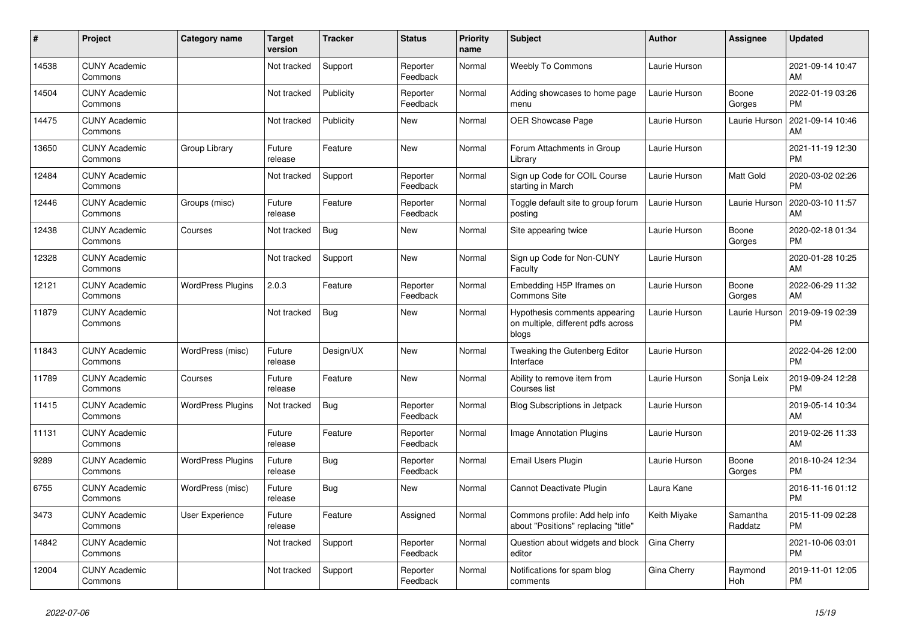| #     | Project                         | <b>Category name</b>     | <b>Target</b><br>version | <b>Tracker</b> | <b>Status</b>        | <b>Priority</b><br>name | <b>Subject</b>                                                               | <b>Author</b> | <b>Assignee</b>     | <b>Updated</b>                |
|-------|---------------------------------|--------------------------|--------------------------|----------------|----------------------|-------------------------|------------------------------------------------------------------------------|---------------|---------------------|-------------------------------|
| 14538 | <b>CUNY Academic</b><br>Commons |                          | Not tracked              | Support        | Reporter<br>Feedback | Normal                  | <b>Weebly To Commons</b>                                                     | Laurie Hurson |                     | 2021-09-14 10:47<br>AM        |
| 14504 | <b>CUNY Academic</b><br>Commons |                          | Not tracked              | Publicity      | Reporter<br>Feedback | Normal                  | Adding showcases to home page<br>menu                                        | Laurie Hurson | Boone<br>Gorges     | 2022-01-19 03:26<br><b>PM</b> |
| 14475 | <b>CUNY Academic</b><br>Commons |                          | Not tracked              | Publicity      | New                  | Normal                  | OER Showcase Page                                                            | Laurie Hurson | Laurie Hurson       | 2021-09-14 10:46<br>AM        |
| 13650 | <b>CUNY Academic</b><br>Commons | Group Library            | Future<br>release        | Feature        | <b>New</b>           | Normal                  | Forum Attachments in Group<br>Library                                        | Laurie Hurson |                     | 2021-11-19 12:30<br><b>PM</b> |
| 12484 | <b>CUNY Academic</b><br>Commons |                          | Not tracked              | Support        | Reporter<br>Feedback | Normal                  | Sign up Code for COIL Course<br>starting in March                            | Laurie Hurson | Matt Gold           | 2020-03-02 02:26<br><b>PM</b> |
| 12446 | <b>CUNY Academic</b><br>Commons | Groups (misc)            | Future<br>release        | Feature        | Reporter<br>Feedback | Normal                  | Toggle default site to group forum<br>postina                                | Laurie Hurson | Laurie Hurson       | 2020-03-10 11:57<br>AM        |
| 12438 | <b>CUNY Academic</b><br>Commons | Courses                  | Not tracked              | <b>Bug</b>     | New                  | Normal                  | Site appearing twice                                                         | Laurie Hurson | Boone<br>Gorges     | 2020-02-18 01:34<br><b>PM</b> |
| 12328 | <b>CUNY Academic</b><br>Commons |                          | Not tracked              | Support        | New                  | Normal                  | Sign up Code for Non-CUNY<br>Faculty                                         | Laurie Hurson |                     | 2020-01-28 10:25<br>AM        |
| 12121 | <b>CUNY Academic</b><br>Commons | <b>WordPress Plugins</b> | 2.0.3                    | Feature        | Reporter<br>Feedback | Normal                  | Embedding H5P Iframes on<br><b>Commons Site</b>                              | Laurie Hurson | Boone<br>Gorges     | 2022-06-29 11:32<br>AM        |
| 11879 | <b>CUNY Academic</b><br>Commons |                          | Not tracked              | Bug            | New                  | Normal                  | Hypothesis comments appearing<br>on multiple, different pdfs across<br>blogs | Laurie Hurson | Laurie Hurson       | 2019-09-19 02:39<br><b>PM</b> |
| 11843 | <b>CUNY Academic</b><br>Commons | WordPress (misc)         | Future<br>release        | Design/UX      | <b>New</b>           | Normal                  | Tweaking the Gutenberg Editor<br>Interface                                   | Laurie Hurson |                     | 2022-04-26 12:00<br><b>PM</b> |
| 11789 | <b>CUNY Academic</b><br>Commons | Courses                  | Future<br>release        | Feature        | <b>New</b>           | Normal                  | Ability to remove item from<br>Courses list                                  | Laurie Hurson | Sonja Leix          | 2019-09-24 12:28<br><b>PM</b> |
| 11415 | <b>CUNY Academic</b><br>Commons | <b>WordPress Plugins</b> | Not tracked              | Bug            | Reporter<br>Feedback | Normal                  | <b>Blog Subscriptions in Jetpack</b>                                         | Laurie Hurson |                     | 2019-05-14 10:34<br>AM        |
| 11131 | <b>CUNY Academic</b><br>Commons |                          | Future<br>release        | Feature        | Reporter<br>Feedback | Normal                  | Image Annotation Plugins                                                     | Laurie Hurson |                     | 2019-02-26 11:33<br>AM        |
| 9289  | <b>CUNY Academic</b><br>Commons | <b>WordPress Plugins</b> | Future<br>release        | Bug            | Reporter<br>Feedback | Normal                  | Email Users Plugin                                                           | Laurie Hurson | Boone<br>Gorges     | 2018-10-24 12:34<br><b>PM</b> |
| 6755  | <b>CUNY Academic</b><br>Commons | WordPress (misc)         | Future<br>release        | Bug            | <b>New</b>           | Normal                  | Cannot Deactivate Plugin                                                     | Laura Kane    |                     | 2016-11-16 01:12<br><b>PM</b> |
| 3473  | <b>CUNY Academic</b><br>Commons | User Experience          | Future<br>release        | Feature        | Assigned             | Normal                  | Commons profile: Add help info<br>about "Positions" replacing "title"        | Keith Miyake  | Samantha<br>Raddatz | 2015-11-09 02:28<br><b>PM</b> |
| 14842 | <b>CUNY Academic</b><br>Commons |                          | Not tracked              | Support        | Reporter<br>Feedback | Normal                  | Question about widgets and block<br>editor                                   | Gina Cherry   |                     | 2021-10-06 03:01<br><b>PM</b> |
| 12004 | <b>CUNY Academic</b><br>Commons |                          | Not tracked              | Support        | Reporter<br>Feedback | Normal                  | Notifications for spam blog<br>comments                                      | Gina Cherry   | Raymond<br>Hoh      | 2019-11-01 12:05<br><b>PM</b> |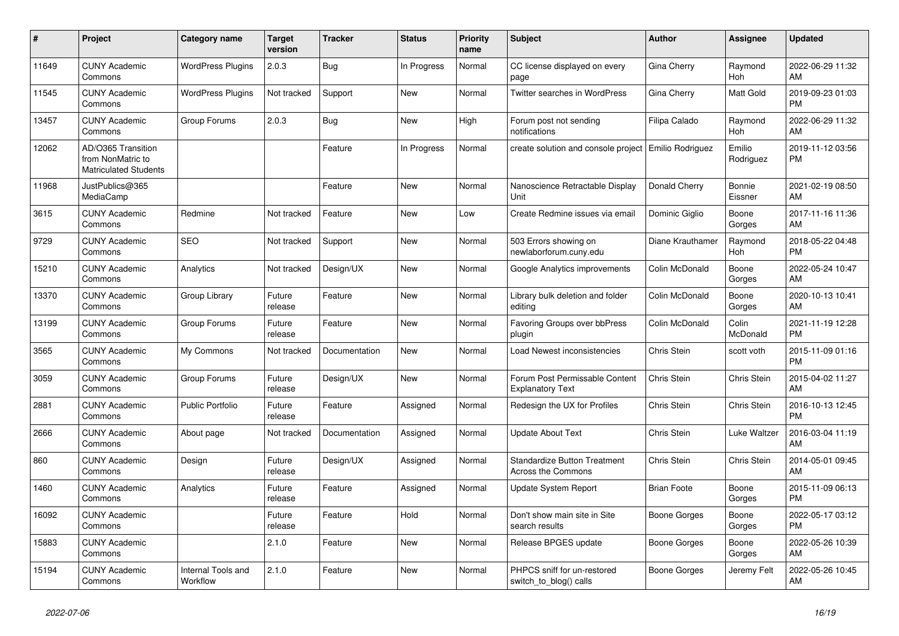| #     | <b>Project</b>                                                          | <b>Category name</b>           | <b>Target</b><br>version | <b>Tracker</b> | <b>Status</b> | <b>Priority</b><br>name | <b>Subject</b>                                                   | <b>Author</b>       | Assignee            | <b>Updated</b>                |
|-------|-------------------------------------------------------------------------|--------------------------------|--------------------------|----------------|---------------|-------------------------|------------------------------------------------------------------|---------------------|---------------------|-------------------------------|
| 11649 | <b>CUNY Academic</b><br>Commons                                         | <b>WordPress Plugins</b>       | 2.0.3                    | Bug            | In Progress   | Normal                  | CC license displayed on every<br>page                            | Gina Cherry         | Raymond<br>Hoh      | 2022-06-29 11:32<br>AM        |
| 11545 | <b>CUNY Academic</b><br>Commons                                         | <b>WordPress Plugins</b>       | Not tracked              | Support        | New           | Normal                  | <b>Twitter searches in WordPress</b>                             | Gina Cherry         | Matt Gold           | 2019-09-23 01:03<br><b>PM</b> |
| 13457 | <b>CUNY Academic</b><br>Commons                                         | Group Forums                   | 2.0.3                    | Bug            | New           | High                    | Forum post not sending<br>notifications                          | Filipa Calado       | Raymond<br>Hoh      | 2022-06-29 11:32<br>AM        |
| 12062 | AD/O365 Transition<br>from NonMatric to<br><b>Matriculated Students</b> |                                |                          | Feature        | In Progress   | Normal                  | create solution and console project   Emilio Rodriguez           |                     | Emilio<br>Rodriguez | 2019-11-12 03:56<br><b>PM</b> |
| 11968 | JustPublics@365<br>MediaCamp                                            |                                |                          | Feature        | New           | Normal                  | Nanoscience Retractable Display<br>Unit                          | Donald Cherry       | Bonnie<br>Eissner   | 2021-02-19 08:50<br>AM        |
| 3615  | <b>CUNY Academic</b><br>Commons                                         | Redmine                        | Not tracked              | Feature        | <b>New</b>    | Low                     | Create Redmine issues via email                                  | Dominic Giglio      | Boone<br>Gorges     | 2017-11-16 11:36<br>AM        |
| 9729  | <b>CUNY Academic</b><br>Commons                                         | <b>SEO</b>                     | Not tracked              | Support        | New           | Normal                  | 503 Errors showing on<br>newlaborforum.cuny.edu                  | Diane Krauthamer    | Raymond<br>Hoh      | 2018-05-22 04:48<br><b>PM</b> |
| 15210 | <b>CUNY Academic</b><br>Commons                                         | Analytics                      | Not tracked              | Design/UX      | <b>New</b>    | Normal                  | Google Analytics improvements                                    | Colin McDonald      | Boone<br>Gorges     | 2022-05-24 10:47<br>AM        |
| 13370 | <b>CUNY Academic</b><br>Commons                                         | Group Library                  | Future<br>release        | Feature        | New           | Normal                  | Library bulk deletion and folder<br>editing                      | Colin McDonald      | Boone<br>Gorges     | 2020-10-13 10:41<br>AM        |
| 13199 | <b>CUNY Academic</b><br>Commons                                         | Group Forums                   | Future<br>release        | Feature        | New           | Normal                  | Favoring Groups over bbPress<br>plugin                           | Colin McDonald      | Colin<br>McDonald   | 2021-11-19 12:28<br><b>PM</b> |
| 3565  | <b>CUNY Academic</b><br>Commons                                         | My Commons                     | Not tracked              | Documentation  | New           | Normal                  | Load Newest inconsistencies                                      | Chris Stein         | scott voth          | 2015-11-09 01:16<br><b>PM</b> |
| 3059  | <b>CUNY Academic</b><br>Commons                                         | Group Forums                   | Future<br>release        | Design/UX      | New           | Normal                  | Forum Post Permissable Content<br><b>Explanatory Text</b>        | Chris Stein         | Chris Stein         | 2015-04-02 11:27<br>AM        |
| 2881  | <b>CUNY Academic</b><br>Commons                                         | <b>Public Portfolio</b>        | Future<br>release        | Feature        | Assigned      | Normal                  | Redesign the UX for Profiles                                     | Chris Stein         | Chris Stein         | 2016-10-13 12:45<br><b>PM</b> |
| 2666  | <b>CUNY Academic</b><br>Commons                                         | About page                     | Not tracked              | Documentation  | Assigned      | Normal                  | <b>Update About Text</b>                                         | Chris Stein         | Luke Waltzer        | 2016-03-04 11:19<br>AM        |
| 860   | <b>CUNY Academic</b><br>Commons                                         | Design                         | Future<br>release        | Design/UX      | Assigned      | Normal                  | <b>Standardize Button Treatment</b><br><b>Across the Commons</b> | Chris Stein         | Chris Stein         | 2014-05-01 09:45<br>AM        |
| 1460  | <b>CUNY Academic</b><br>Commons                                         | Analytics                      | Future<br>release        | Feature        | Assigned      | Normal                  | <b>Update System Report</b>                                      | <b>Brian Foote</b>  | Boone<br>Gorges     | 2015-11-09 06:13<br><b>PM</b> |
| 16092 | <b>CUNY Academic</b><br>Commons                                         |                                | Future<br>release        | Feature        | Hold          | Normal                  | Don't show main site in Site<br>search results                   | <b>Boone Gorges</b> | Boone<br>Gorges     | 2022-05-17 03:12<br><b>PM</b> |
| 15883 | <b>CUNY Academic</b><br>Commons                                         |                                | 2.1.0                    | Feature        | <b>New</b>    | Normal                  | Release BPGES update                                             | Boone Gorges        | Boone<br>Gorges     | 2022-05-26 10:39<br>AM        |
| 15194 | <b>CUNY Academic</b><br>Commons                                         | Internal Tools and<br>Workflow | 2.1.0                    | Feature        | <b>New</b>    | Normal                  | PHPCS sniff for un-restored<br>switch_to_blog() calls            | Boone Gorges        | Jeremy Felt         | 2022-05-26 10:45<br>AM        |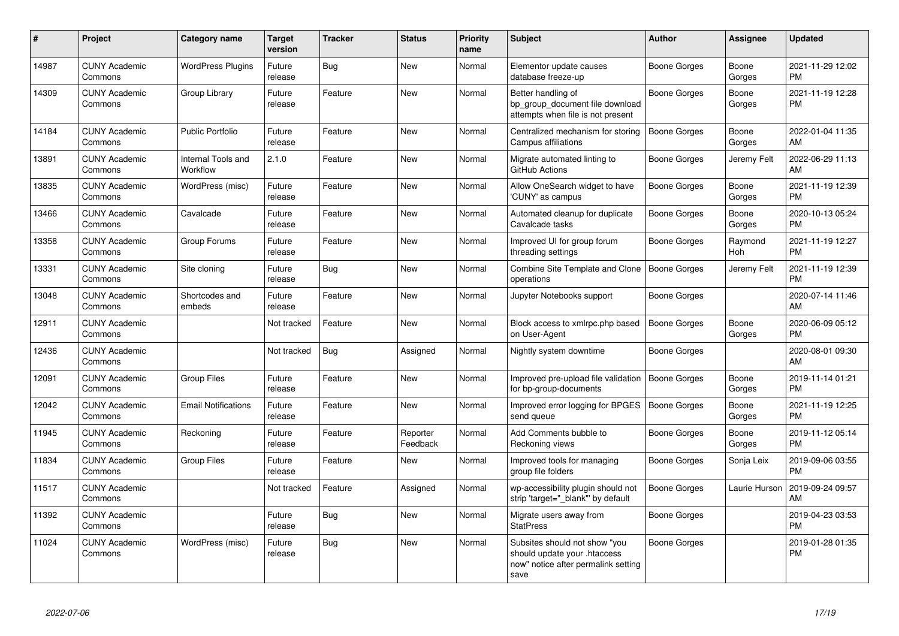| #     | Project                         | <b>Category name</b>           | <b>Target</b><br>version | <b>Tracker</b> | <b>Status</b>        | <b>Priority</b><br>name | <b>Subject</b>                                                                                               | Author              | <b>Assignee</b> | <b>Updated</b>                |
|-------|---------------------------------|--------------------------------|--------------------------|----------------|----------------------|-------------------------|--------------------------------------------------------------------------------------------------------------|---------------------|-----------------|-------------------------------|
| 14987 | <b>CUNY Academic</b><br>Commons | <b>WordPress Plugins</b>       | Future<br>release        | Bug            | <b>New</b>           | Normal                  | Elementor update causes<br>database freeze-up                                                                | Boone Gorges        | Boone<br>Gorges | 2021-11-29 12:02<br>PM        |
| 14309 | <b>CUNY Academic</b><br>Commons | Group Library                  | Future<br>release        | Feature        | <b>New</b>           | Normal                  | Better handling of<br>bp_group_document file download<br>attempts when file is not present                   | <b>Boone Gorges</b> | Boone<br>Gorges | 2021-11-19 12:28<br><b>PM</b> |
| 14184 | <b>CUNY Academic</b><br>Commons | <b>Public Portfolio</b>        | Future<br>release        | Feature        | New                  | Normal                  | Centralized mechanism for storing<br>Campus affiliations                                                     | <b>Boone Gorges</b> | Boone<br>Gorges | 2022-01-04 11:35<br>AM        |
| 13891 | <b>CUNY Academic</b><br>Commons | Internal Tools and<br>Workflow | 2.1.0                    | Feature        | New                  | Normal                  | Migrate automated linting to<br>GitHub Actions                                                               | Boone Gorges        | Jeremy Felt     | 2022-06-29 11:13<br>AM        |
| 13835 | <b>CUNY Academic</b><br>Commons | WordPress (misc)               | Future<br>release        | Feature        | New                  | Normal                  | Allow OneSearch widget to have<br>'CUNY' as campus                                                           | Boone Gorges        | Boone<br>Gorges | 2021-11-19 12:39<br><b>PM</b> |
| 13466 | <b>CUNY Academic</b><br>Commons | Cavalcade                      | Future<br>release        | Feature        | <b>New</b>           | Normal                  | Automated cleanup for duplicate<br>Cavalcade tasks                                                           | <b>Boone Gorges</b> | Boone<br>Gorges | 2020-10-13 05:24<br><b>PM</b> |
| 13358 | <b>CUNY Academic</b><br>Commons | Group Forums                   | Future<br>release        | Feature        | <b>New</b>           | Normal                  | Improved UI for group forum<br>threading settings                                                            | Boone Gorges        | Raymond<br>Hoh  | 2021-11-19 12:27<br><b>PM</b> |
| 13331 | <b>CUNY Academic</b><br>Commons | Site cloning                   | Future<br>release        | Bug            | New                  | Normal                  | Combine Site Template and Clone<br>operations                                                                | <b>Boone Gorges</b> | Jeremy Felt     | 2021-11-19 12:39<br><b>PM</b> |
| 13048 | <b>CUNY Academic</b><br>Commons | Shortcodes and<br>embeds       | Future<br>release        | Feature        | New                  | Normal                  | Jupyter Notebooks support                                                                                    | Boone Gorges        |                 | 2020-07-14 11:46<br>AM        |
| 12911 | <b>CUNY Academic</b><br>Commons |                                | Not tracked              | Feature        | New                  | Normal                  | Block access to xmlrpc.php based<br>on User-Agent                                                            | <b>Boone Gorges</b> | Boone<br>Gorges | 2020-06-09 05:12<br><b>PM</b> |
| 12436 | <b>CUNY Academic</b><br>Commons |                                | Not tracked              | <b>Bug</b>     | Assigned             | Normal                  | Nightly system downtime                                                                                      | <b>Boone Gorges</b> |                 | 2020-08-01 09:30<br>AM        |
| 12091 | <b>CUNY Academic</b><br>Commons | Group Files                    | Future<br>release        | Feature        | <b>New</b>           | Normal                  | Improved pre-upload file validation<br>for bp-group-documents                                                | Boone Gorges        | Boone<br>Gorges | 2019-11-14 01:21<br><b>PM</b> |
| 12042 | <b>CUNY Academic</b><br>Commons | <b>Email Notifications</b>     | Future<br>release        | Feature        | <b>New</b>           | Normal                  | Improved error logging for BPGES<br>send queue                                                               | Boone Gorges        | Boone<br>Gorges | 2021-11-19 12:25<br><b>PM</b> |
| 11945 | <b>CUNY Academic</b><br>Commons | Reckoning                      | Future<br>release        | Feature        | Reporter<br>Feedback | Normal                  | Add Comments bubble to<br>Reckoning views                                                                    | Boone Gorges        | Boone<br>Gorges | 2019-11-12 05:14<br><b>PM</b> |
| 11834 | <b>CUNY Academic</b><br>Commons | Group Files                    | Future<br>release        | Feature        | New                  | Normal                  | Improved tools for managing<br>group file folders                                                            | Boone Gorges        | Sonja Leix      | 2019-09-06 03:55<br><b>PM</b> |
| 11517 | <b>CUNY Academic</b><br>Commons |                                | Not tracked              | Feature        | Assigned             | Normal                  | wp-accessibility plugin should not<br>strip 'target="_blank"' by default                                     | <b>Boone Gorges</b> | Laurie Hurson   | 2019-09-24 09:57<br>AM        |
| 11392 | <b>CUNY Academic</b><br>Commons |                                | Future<br>release        | Bug            | New                  | Normal                  | Migrate users away from<br><b>StatPress</b>                                                                  | Boone Gorges        |                 | 2019-04-23 03:53<br><b>PM</b> |
| 11024 | <b>CUNY Academic</b><br>Commons | WordPress (misc)               | Future<br>release        | <b>Bug</b>     | <b>New</b>           | Normal                  | Subsites should not show "you<br>should update your .htaccess<br>now" notice after permalink setting<br>save | <b>Boone Gorges</b> |                 | 2019-01-28 01:35<br><b>PM</b> |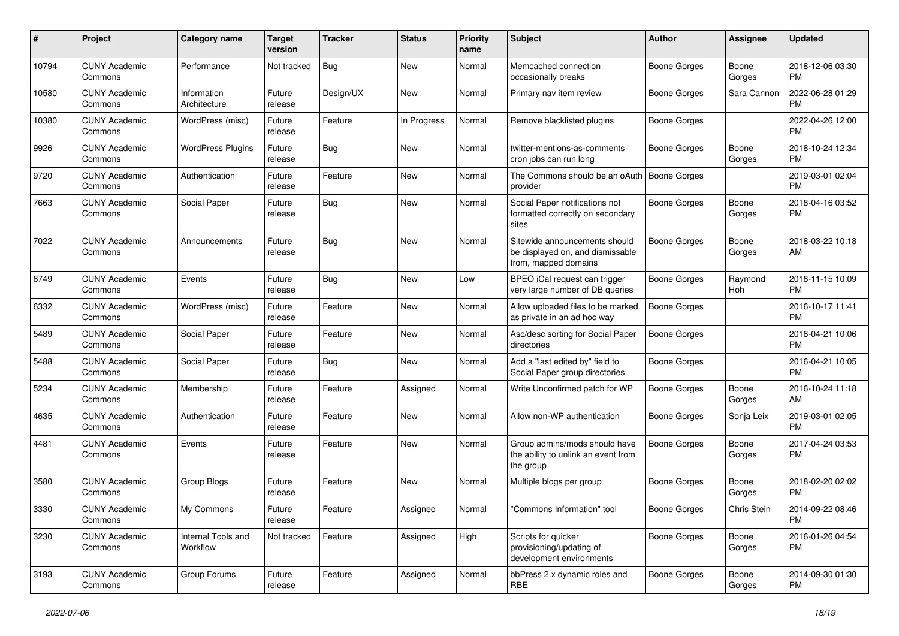| #     | Project                         | Category name                  | <b>Target</b><br>version | <b>Tracker</b> | <b>Status</b> | Priority<br>name | Subject                                                                                   | Author              | Assignee        | <b>Updated</b>                |
|-------|---------------------------------|--------------------------------|--------------------------|----------------|---------------|------------------|-------------------------------------------------------------------------------------------|---------------------|-----------------|-------------------------------|
| 10794 | <b>CUNY Academic</b><br>Commons | Performance                    | Not tracked              | <b>Bug</b>     | New           | Normal           | Memcached connection<br>occasionally breaks                                               | Boone Gorges        | Boone<br>Gorges | 2018-12-06 03:30<br>PM        |
| 10580 | <b>CUNY Academic</b><br>Commons | Information<br>Architecture    | Future<br>release        | Design/UX      | New           | Normal           | Primary nav item review                                                                   | <b>Boone Gorges</b> | Sara Cannon     | 2022-06-28 01:29<br><b>PM</b> |
| 10380 | <b>CUNY Academic</b><br>Commons | WordPress (misc)               | Future<br>release        | Feature        | In Progress   | Normal           | Remove blacklisted plugins                                                                | <b>Boone Gorges</b> |                 | 2022-04-26 12:00<br><b>PM</b> |
| 9926  | <b>CUNY Academic</b><br>Commons | <b>WordPress Plugins</b>       | Future<br>release        | <b>Bug</b>     | New           | Normal           | twitter-mentions-as-comments<br>cron jobs can run long                                    | <b>Boone Gorges</b> | Boone<br>Gorges | 2018-10-24 12:34<br>PM        |
| 9720  | <b>CUNY Academic</b><br>Commons | Authentication                 | Future<br>release        | Feature        | New           | Normal           | The Commons should be an oAuth   Boone Gorges<br>provider                                 |                     |                 | 2019-03-01 02:04<br><b>PM</b> |
| 7663  | <b>CUNY Academic</b><br>Commons | Social Paper                   | Future<br>release        | <b>Bug</b>     | New           | Normal           | Social Paper notifications not<br>formatted correctly on secondary<br>sites               | <b>Boone Gorges</b> | Boone<br>Gorges | 2018-04-16 03:52<br><b>PM</b> |
| 7022  | <b>CUNY Academic</b><br>Commons | Announcements                  | Future<br>release        | Bug            | New           | Normal           | Sitewide announcements should<br>be displayed on, and dismissable<br>from, mapped domains | <b>Boone Gorges</b> | Boone<br>Gorges | 2018-03-22 10:18<br>AM        |
| 6749  | <b>CUNY Academic</b><br>Commons | Events                         | Future<br>release        | Bug            | New           | Low              | BPEO iCal request can trigger<br>very large number of DB queries                          | <b>Boone Gorges</b> | Raymond<br>Hoh  | 2016-11-15 10:09<br><b>PM</b> |
| 6332  | <b>CUNY Academic</b><br>Commons | WordPress (misc)               | Future<br>release        | Feature        | New           | Normal           | Allow uploaded files to be marked<br>as private in an ad hoc way                          | <b>Boone Gorges</b> |                 | 2016-10-17 11:41<br><b>PM</b> |
| 5489  | <b>CUNY Academic</b><br>Commons | Social Paper                   | Future<br>release        | Feature        | New           | Normal           | Asc/desc sorting for Social Paper<br>directories                                          | <b>Boone Gorges</b> |                 | 2016-04-21 10:06<br><b>PM</b> |
| 5488  | <b>CUNY Academic</b><br>Commons | Social Paper                   | Future<br>release        | <b>Bug</b>     | New           | Normal           | Add a "last edited by" field to<br>Social Paper group directories                         | <b>Boone Gorges</b> |                 | 2016-04-21 10:05<br><b>PM</b> |
| 5234  | <b>CUNY Academic</b><br>Commons | Membership                     | Future<br>release        | Feature        | Assigned      | Normal           | Write Unconfirmed patch for WP                                                            | <b>Boone Gorges</b> | Boone<br>Gorges | 2016-10-24 11:18<br>AM        |
| 4635  | <b>CUNY Academic</b><br>Commons | Authentication                 | Future<br>release        | Feature        | New           | Normal           | Allow non-WP authentication                                                               | <b>Boone Gorges</b> | Sonja Leix      | 2019-03-01 02:05<br><b>PM</b> |
| 4481  | <b>CUNY Academic</b><br>Commons | Events                         | Future<br>release        | Feature        | New           | Normal           | Group admins/mods should have<br>the ability to unlink an event from<br>the group         | <b>Boone Gorges</b> | Boone<br>Gorges | 2017-04-24 03:53<br><b>PM</b> |
| 3580  | <b>CUNY Academic</b><br>Commons | Group Blogs                    | Future<br>release        | Feature        | <b>New</b>    | Normal           | Multiple blogs per group                                                                  | <b>Boone Gorges</b> | Boone<br>Gorges | 2018-02-20 02:02<br>PM        |
| 3330  | <b>CUNY Academic</b><br>Commons | My Commons                     | Future<br>release        | Feature        | Assigned      | Normal           | "Commons Information" tool                                                                | Boone Gorges        | Chris Stein     | 2014-09-22 08:46<br><b>PM</b> |
| 3230  | <b>CUNY Academic</b><br>Commons | Internal Tools and<br>Workflow | Not tracked              | Feature        | Assigned      | High             | Scripts for quicker<br>provisioning/updating of<br>development environments               | Boone Gorges        | Boone<br>Gorges | 2016-01-26 04:54<br><b>PM</b> |
| 3193  | <b>CUNY Academic</b><br>Commons | Group Forums                   | Future<br>release        | Feature        | Assigned      | Normal           | bbPress 2.x dynamic roles and<br><b>RBE</b>                                               | Boone Gorges        | Boone<br>Gorges | 2014-09-30 01:30<br><b>PM</b> |